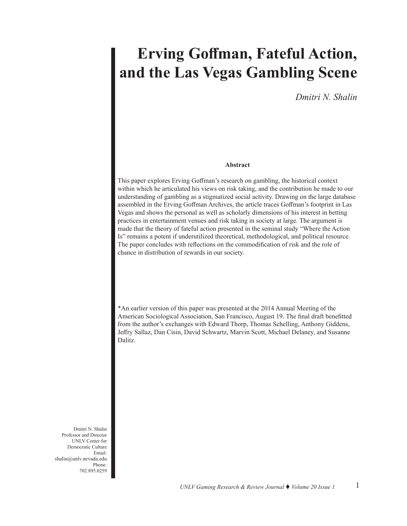# **Erving Goffman, Fateful Action, and the Las Vegas Gambling Scene**

*Dmitri N. Shalin*

#### **Abstract**

This paper explores Erving Goffman's research on gambling, the historical context within which he articulated his views on risk taking, and the contribution he made to our understanding of gambling as a stigmatized social activity. Drawing on the large database assembled in the Erving Goffman Archives, the article traces Goffman's footprint in Las Vegas and shows the personal as well as scholarly dimensions of his interest in betting practices in entertainment venues and risk taking in society at large. The argument is made that the theory of fateful action presented in the seminal study "Where the Action Is" remains a potent if underutilized theoretical, methodological, and political resource. The paper concludes with reflections on the commodification of risk and the role of chance in distribution of rewards in our society.

\*An earlier version of this paper was presented at the 2014 Annual Meeting of the American Sociological Association, San Francisco, August 19. The final draft benefitted from the author's exchanges with Edward Thorp, Thomas Schelling, Anthony Giddens, Jeffry Sallaz, Dan Cisin, David Schwartz, Marvin Scott, Michael Delaney, and Susanne Dalitz.

Dmitri N. Shalin Professor and Director UNLV Center for Democratic Culture Email: shalin@unlv.nevada.edu Phone: 702.895.0259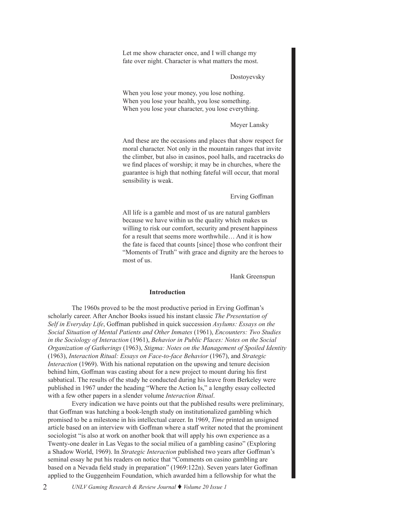Let me show character once, and I will change my fate over night. Character is what matters the most.

#### Dostoyevsky

When you lose your money, you lose nothing. When you lose your health, you lose something. When you lose your character, you lose everything.

#### Meyer Lansky

And these are the occasions and places that show respect for moral character. Not only in the mountain ranges that invite the climber, but also in casinos, pool halls, and racetracks do we find places of worship; it may be in churches, where the guarantee is high that nothing fateful will occur, that moral sensibility is weak.

## Erving Goffman

All life is a gamble and most of us are natural gamblers because we have within us the quality which makes us willing to risk our comfort, security and present happiness for a result that seems more worthwhile… And it is how the fate is faced that counts [since] those who confront their "Moments of Truth" with grace and dignity are the heroes to most of us.

Hank Greenspun

#### **Introduction**

The 1960s proved to be the most productive period in Erving Goffman's scholarly career. After Anchor Books issued his instant classic *The Presentation of Self in Everyday Life*, Goffman published in quick succession *Asylums: Essays on the Social Situation of Mental Patients and Other Inmates* (1961), *Encounters: Two Studies in the Sociology of Interaction* (1961), *Behavior in Public Places: Notes on the Social Organization of Gatherings* (1963), *Stigma: Notes on the Management of Spoiled Identity* (1963), *Interaction Ritual: Essays on Face-to-face Behavior* (1967), and *Strategic Interaction* (1969). With his national reputation on the upswing and tenure decision behind him, Goffman was casting about for a new project to mount during his first sabbatical. The results of the study he conducted during his leave from Berkeley were published in 1967 under the heading "Where the Action Is," a lengthy essay collected with a few other papers in a slender volume *Interaction Ritual*.

Every indication we have points out that the published results were preliminary, that Goffman was hatching a book-length study on institutionalized gambling which promised to be a milestone in his intellectual career. In 1969, *Time* printed an unsigned article based on an interview with Goffman where a staff writer noted that the prominent sociologist "is also at work on another book that will apply his own experience as a Twenty-one dealer in Las Vegas to the social milieu of a gambling casino" (Exploring a Shadow World, 1969). In *Strategic Interaction* published two years after Goffman's seminal essay he put his readers on notice that "Comments on casino gambling are based on a Nevada field study in preparation" (1969:122n). Seven years later Goffman applied to the Guggenheim Foundation, which awarded him a fellowship for what the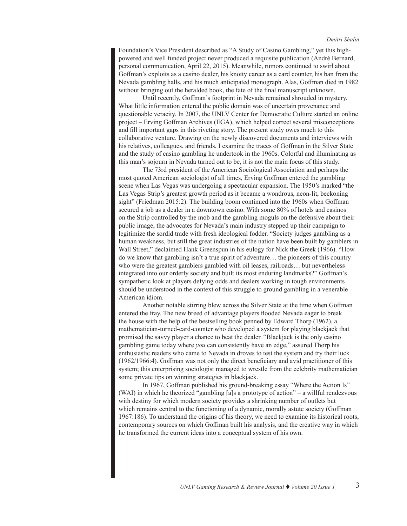Foundation's Vice President described as "A Study of Casino Gambling," yet this highpowered and well funded project never produced a requisite publication (André Bernard, personal communication, April 22, 2015). Meanwhile, rumors continued to swirl about Goffman's exploits as a casino dealer, his knotty career as a card counter, his ban from the Nevada gambling halls, and his much anticipated monograph. Alas, Goffman died in 1982 without bringing out the heralded book, the fate of the final manuscript unknown.

Until recently, Goffman's footprint in Nevada remained shrouded in mystery. What little information entered the public domain was of uncertain provenance and questionable veracity. In 2007, the UNLV Center for Democratic Culture started an online project – Erving Goffman Archives (EGA), which helped correct several misconceptions and fill important gaps in this riveting story. The present study owes much to this collaborative venture. Drawing on the newly discovered documents and interviews with his relatives, colleagues, and friends, I examine the traces of Goffman in the Silver State and the study of casino gambling he undertook in the 1960s. Colorful and illuminating as this man's sojourn in Nevada turned out to be, it is not the main focus of this study.

The 73rd president of the American Sociological Association and perhaps the most quoted American sociologist of all times, Erving Goffman entered the gambling scene when Las Vegas was undergoing a spectacular expansion. The 1950's marked "the Las Vegas Strip's greatest growth period as it became a wondrous, neon-lit, beckoning sight" (Friedman 2015:2). The building boom continued into the 1960s when Goffman secured a job as a dealer in a downtown casino. With some 80% of hotels and casinos on the Strip controlled by the mob and the gambling moguls on the defensive about their public image, the advocates for Nevada's main industry stepped up their campaign to legitimize the sordid trade with fresh ideological fodder. "Society judges gambling as a human weakness, but still the great industries of the nation have been built by gamblers in Wall Street," declaimed Hank Greenspun in his eulogy for Nick the Greek (1966). "How do we know that gambling isn't a true spirit of adventure… the pioneers of this country who were the greatest gamblers gambled with oil leases, railroads… but nevertheless integrated into our orderly society and built its most enduring landmarks?" Goffman's sympathetic look at players defying odds and dealers working in tough environments should be understood in the context of this struggle to ground gambling in a venerable American idiom.

Another notable stirring blew across the Silver State at the time when Goffman entered the fray. The new breed of advantage players flooded Nevada eager to break the house with the help of the bestselling book penned by Edward Thorp (1962), a mathematician-turned-card-counter who developed a system for playing blackjack that promised the savvy player a chance to beat the dealer. "Blackjack is the only casino gambling game today where *you* can consistently have an edge," assured Thorp his enthusiastic readers who came to Nevada in droves to test the system and try their luck (1962/1966:4). Goffman was not only the direct beneficiary and avid practitioner of this system; this enterprising sociologist managed to wrestle from the celebrity mathematician some private tips on winning strategies in blackjack.

In 1967, Goffman published his ground-breaking essay "Where the Action Is" (WAI) in which he theorized "gambling [a]s a prototype of action" – a willful rendezvous with destiny for which modern society provides a shrinking number of outlets but which remains central to the functioning of a dynamic, morally astute society (Goffman 1967:186). To understand the origins of his theory, we need to examine its historical roots, contemporary sources on which Goffman built his analysis, and the creative way in which he transformed the current ideas into a conceptual system of his own.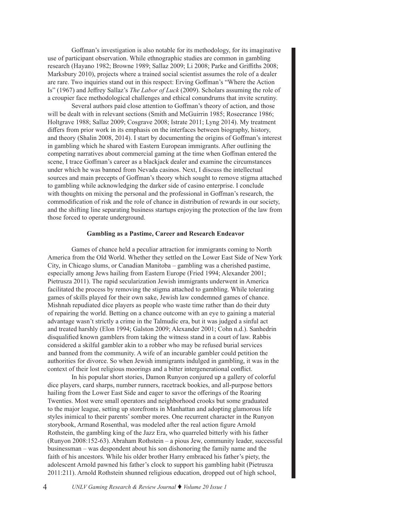Goffman's investigation is also notable for its methodology, for its imaginative use of participant observation. While ethnographic studies are common in gambling research (Hayano 1982; Browne 1989; Sallaz 2009; Li 2008; Parke and Griffiths 2008; Marksbury 2010), projects where a trained social scientist assumes the role of a dealer are rare. Two inquiries stand out in this respect: Erving Goffman's "Where the Action Is" (1967) and Jeffrey Sallaz's *The Labor of Luck* (2009). Scholars assuming the role of a croupier face methodological challenges and ethical conundrums that invite scrutiny.

Several authors paid close attention to Goffman's theory of action, and those will be dealt with in relevant sections (Smith and McGuirrin 1985; Rosecrance 1986; Holtgrave 1988; Sallaz 2009; Cosgrave 2008; Istrate 2011; Lyng 2014). My treatment differs from prior work in its emphasis on the interfaces between biography, history, and theory (Shalin 2008, 2014). I start by documenting the origins of Goffman's interest in gambling which he shared with Eastern European immigrants. After outlining the competing narratives about commercial gaming at the time when Goffman entered the scene, I trace Goffman's career as a blackjack dealer and examine the circumstances under which he was banned from Nevada casinos. Next, I discuss the intellectual sources and main precepts of Goffman's theory which sought to remove stigma attached to gambling while acknowledging the darker side of casino enterprise. I conclude with thoughts on mixing the personal and the professional in Goffman's research, the commodification of risk and the role of chance in distribution of rewards in our society, and the shifting line separating business startups enjoying the protection of the law from those forced to operate underground.

## **Gambling as a Pastime, Career and Research Endeavor**

Games of chance held a peculiar attraction for immigrants coming to North America from the Old World. Whether they settled on the Lower East Side of New York City, in Chicago slums, or Canadian Manitoba – gambling was a cherished pastime, especially among Jews hailing from Eastern Europe (Fried 1994; Alexander 2001; Pietrusza 2011). The rapid secularization Jewish immigrants underwent in America facilitated the process by removing the stigma attached to gambling. While tolerating games of skills played for their own sake, Jewish law condemned games of chance. Mishnah repudiated dice players as people who waste time rather than do their duty of repairing the world. Betting on a chance outcome with an eye to gaining a material advantage wasn't strictly a crime in the Talmudic era, but it was judged a sinful act and treated harshly (Elon 1994; Galston 2009; Alexander 2001; Cohn n.d.). Sanhedrin disqualified known gamblers from taking the witness stand in a court of law. Rabbis considered a skilful gambler akin to a robber who may be refused burial services and banned from the community. A wife of an incurable gambler could petition the authorities for divorce. So when Jewish immigrants indulged in gambling, it was in the context of their lost religious moorings and a bitter intergenerational conflict.

In his popular short stories, Damon Runyon conjured up a gallery of colorful dice players, card sharps, number runners, racetrack bookies, and all-purpose bettors hailing from the Lower East Side and eager to savor the offerings of the Roaring Twenties. Most were small operators and neighborhood crooks but some graduated to the major league, setting up storefronts in Manhattan and adopting glamorous life styles inimical to their parents' somber mores. One recurrent character in the Runyon storybook, Armand Rosenthal, was modeled after the real action figure Arnold Rothstein, the gambling king of the Jazz Era, who quarreled bitterly with his father (Runyon 2008:152-63). Abraham Rothstein – a pious Jew, community leader, successful businessman – was despondent about his son dishonoring the family name and the faith of his ancestors. While his older brother Harry embraced his father's piety, the adolescent Arnold pawned his father's clock to support his gambling habit (Pietrusza 2011:211). Arnold Rothstein shunned religious education, dropped out of high school,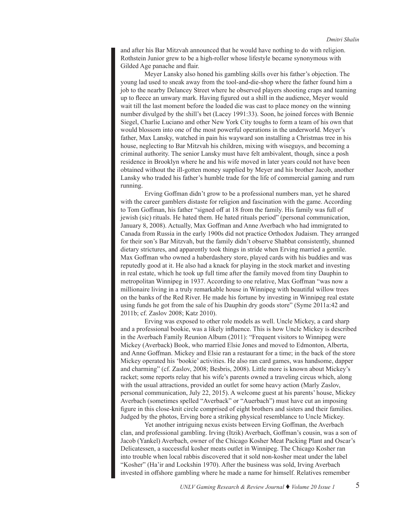and after his Bar Mitzvah announced that he would have nothing to do with religion. Rothstein Junior grew to be a high-roller whose lifestyle became synonymous with Gilded Age panache and flair.

Meyer Lansky also honed his gambling skills over his father's objection. The young lad used to sneak away from the tool-and-die-shop where the father found him a job to the nearby Delancey Street where he observed players shooting craps and teaming up to fleece an unwary mark. Having figured out a shill in the audience, Meyer would wait till the last moment before the loaded die was cast to place money on the winning number divulged by the shill's bet (Lacey 1991:33). Soon, he joined forces with Bennie Siegel, Charlie Luciano and other New York City toughs to form a team of his own that would blossom into one of the most powerful operations in the underworld. Meyer's father, Max Lansky, watched in pain his wayward son installing a Christmas tree in his house, neglecting to Bar Mitzvah his children, mixing with wiseguys, and becoming a criminal authority. The senior Lansky must have felt ambivalent, though, since a posh residence in Brooklyn where he and his wife moved in later years could not have been obtained without the ill-gotten money supplied by Meyer and his brother Jacob, another Lansky who traded his father's humble trade for the life of commercial gaming and rum running.

Erving Goffman didn't grow to be a professional numbers man, yet he shared with the career gamblers distaste for religion and fascination with the game. According to Tom Goffman, his father "signed off at 18 from the family. His family was full of jewish (sic) rituals. He hated them. He hated rituals period" (personal communication, January 8, 2008). Actually, Max Goffman and Anne Averbach who had immigrated to Canada from Russia in the early 1900s did not practice Orthodox Judaism. They arranged for their son's Bar Mitzvah, but the family didn't observe Shabbat consistently, shunned dietary strictures, and apparently took things in stride when Erving married a gentile. Max Goffman who owned a haberdashery store, played cards with his buddies and was reputedly good at it. He also had a knack for playing in the stock market and investing in real estate, which he took up full time after the family moved from tiny Dauphin to metropolitan Winnipeg in 1937. According to one relative, Max Goffman "was now a millionaire living in a truly remarkable house in Winnipeg with beautiful willow trees on the banks of the Red River. He made his fortune by investing in Winnipeg real estate using funds he got from the sale of his Dauphin dry goods store" (Syme 2011a:42 and 2011b; cf. Zaslov 2008; Katz 2010).

Erving was exposed to other role models as well. Uncle Mickey, a card sharp and a professional bookie, was a likely influence. This is how Uncle Mickey is described in the Averbach Family Reunion Album (2011): "Frequent visitors to Winnipeg were Mickey (Averback) Book, who married Elsie Jones and moved to Edmonton, Alberta, and Anne Goffman. Mickey and Elsie ran a restaurant for a time; in the back of the store Mickey operated his 'bookie' activities. He also ran card games, was handsome, dapper and charming" (cf. Zaslov, 2008; Besbris, 2008). Little more is known about Mickey's racket; some reports relay that his wife's parents owned a traveling circus which, along with the usual attractions, provided an outlet for some heavy action (Marly Zaslov, personal communication, July 22, 2015). A welcome guest at his parents' house, Mickey Averbach (sometimes spelled "Averback" or "Auerbach") must have cut an imposing figure in this close-knit circle comprised of eight brothers and sisters and their families. Judged by the photos, Erving bore a striking physical resemblance to Uncle Mickey.

Yet another intriguing nexus exists between Erving Goffman, the Averbach clan, and professional gambling. Irving (Itzik) Averbach, Goffman's cousin, was a son of Jacob (Yankel) Averbach, owner of the Chicago Kosher Meat Packing Plant and Oscar's Delicatessen, a successful kosher meats outlet in Winnipeg. The Chicago Kosher ran into trouble when local rabbis discovered that it sold non-kosher meat under the label "Kosher" (Ha'ir and Lockshin 1970). After the business was sold, Irving Averbach invested in offshore gambling where he made a name for himself. Relatives remember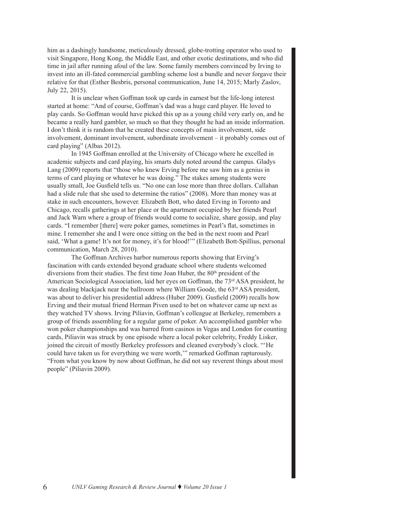him as a dashingly handsome, meticulously dressed, globe-trotting operator who used to visit Singapore, Hong Kong, the Middle East, and other exotic destinations, and who did time in jail after running afoul of the law. Some family members convinced by Irving to invest into an ill-fated commercial gambling scheme lost a bundle and never forgave their relative for that (Esther Besbris, personal communication, June 14, 2015; Marly Zaslov, July 22, 2015).

It is unclear when Goffman took up cards in earnest but the life-long interest started at home: "And of course, Goffman's dad was a huge card player. He loved to play cards. So Goffman would have picked this up as a young child very early on, and he became a really hard gambler, so much so that they thought he had an inside information. I don't think it is random that he created these concepts of main involvement, side involvement, dominant involvement, subordinate involvement – it probably comes out of card playing" (Albas 2012).

In 1945 Goffman enrolled at the University of Chicago where he excelled in academic subjects and card playing, his smarts duly noted around the campus. Gladys Lang (2009) reports that "those who knew Erving before me saw him as a genius in terms of card playing or whatever he was doing." The stakes among students were usually small, Joe Gusfield tells us. "No one can lose more than three dollars. Callahan had a slide rule that she used to determine the ratios" (2008). More than money was at stake in such encounters, however. Elizabeth Bott, who dated Erving in Toronto and Chicago, recalls gatherings at her place or the apartment occupied by her friends Pearl and Jack Warn where a group of friends would come to socialize, share gossip, and play cards. "I remember [there] were poker games, sometimes in Pearl's flat, sometimes in mine. I remember she and I were once sitting on the bed in the next room and Pearl said, 'What a game! It's not for money, it's for blood!'" (Elizabeth Bott-Spillius, personal communication, March 28, 2010).

The Goffman Archives harbor numerous reports showing that Erving's fascination with cards extended beyond graduate school where students welcomed diversions from their studies. The first time Joan Huber, the 80<sup>th</sup> president of the American Sociological Association, laid her eyes on Goffman, the 73<sup>rd</sup> ASA president, he was dealing blackjack near the ballroom where William Goode, the  $63<sup>rd</sup>$  ASA president, was about to deliver his presidential address (Huber 2009). Gusfield (2009) recalls how Erving and their mutual friend Herman Piven used to bet on whatever came up next as they watched TV shows. Irving Piliavin, Goffman's colleague at Berkeley, remembers a group of friends assembling for a regular game of poker. An accomplished gambler who won poker championships and was barred from casinos in Vegas and London for counting cards, Piliavin was struck by one episode where a local poker celebrity, Freddy Lisker, joined the circuit of mostly Berkeley professors and cleaned everybody's clock. "'He could have taken us for everything we were worth,'" remarked Goffman rapturously. "From what you know by now about Goffman, he did not say reverent things about most people" (Piliavin 2009).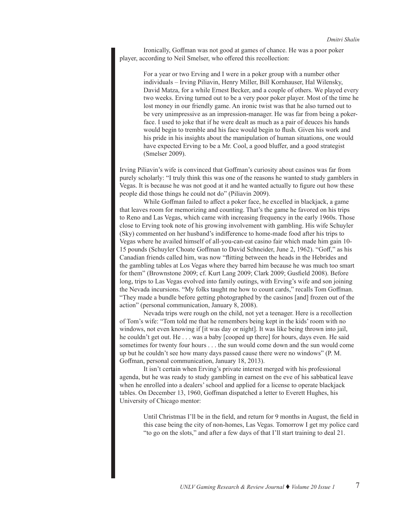Ironically, Goffman was not good at games of chance. He was a poor poker player, according to Neil Smelser, who offered this recollection:

> For a year or two Erving and I were in a poker group with a number other individuals – Irving Piliavin, Henry Miller, Bill Kornhauser, Hal Wilensky, David Matza, for a while Ernest Becker, and a couple of others. We played every two weeks. Erving turned out to be a very poor poker player. Most of the time he lost money in our friendly game. An ironic twist was that he also turned out to be very unimpressive as an impression-manager. He was far from being a pokerface. I used to joke that if he were dealt as much as a pair of deuces his hands would begin to tremble and his face would begin to flush. Given his work and his pride in his insights about the manipulation of human situations, one would have expected Erving to be a Mr. Cool, a good bluffer, and a good strategist (Smelser 2009).

Irving Piliavin's wife is convinced that Goffman's curiosity about casinos was far from purely scholarly: "I truly think this was one of the reasons he wanted to study gamblers in Vegas. It is because he was not good at it and he wanted actually to figure out how these people did those things he could not do" (Piliavin 2009).

While Goffman failed to affect a poker face, he excelled in blackjack, a game that leaves room for memorizing and counting. That's the game he favored on his trips to Reno and Las Vegas, which came with increasing frequency in the early 1960s. Those close to Erving took note of his growing involvement with gambling. His wife Schuyler (Sky) commented on her husband's indifference to home-made food after his trips to Vegas where he availed himself of all-you-can-eat casino fair which made him gain 10- 15 pounds (Schuyler Choate Goffman to David Schneider, June 2, 1962). "Goff," as his Canadian friends called him, was now "flitting between the heads in the Hebrides and the gambling tables at Los Vegas where they barred him because he was much too smart for them" (Brownstone 2009; cf. Kurt Lang 2009; Clark 2009; Gusfield 2008). Before long, trips to Las Vegas evolved into family outings, with Erving's wife and son joining the Nevada incursions. "My folks taught me how to count cards," recalls Tom Goffman. "They made a bundle before getting photographed by the casinos [and] frozen out of the action" (personal communication, January 8, 2008).

Nevada trips were rough on the child, not yet a teenager. Here is a recollection of Tom's wife: "Tom told me that he remembers being kept in the kids' room with no windows, not even knowing if [it was day or night]. It was like being thrown into jail, he couldn't get out. He . . . was a baby [cooped up there] for hours, days even. He said sometimes for twenty four hours . . . the sun would come down and the sun would come up but he couldn't see how many days passed cause there were no windows" (P. M. Goffman, personal communication, January 18, 2013).

It isn't certain when Erving's private interest merged with his professional agenda, but he was ready to study gambling in earnest on the eve of his sabbatical leave when he enrolled into a dealers' school and applied for a license to operate blackjack tables. On December 13, 1960, Goffman dispatched a letter to Everett Hughes, his University of Chicago mentor:

> Until Christmas I'll be in the field, and return for 9 months in August, the field in this case being the city of non-homes, Las Vegas. Tomorrow I get my police card "to go on the slots," and after a few days of that I'll start training to deal 21.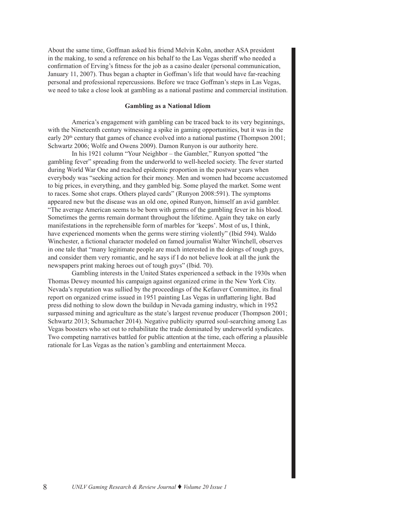About the same time, Goffman asked his friend Melvin Kohn, another ASA president in the making, to send a reference on his behalf to the Las Vegas sheriff who needed a confirmation of Erving's fitness for the job as a casino dealer (personal communication, January 11, 2007). Thus began a chapter in Goffman's life that would have far-reaching personal and professional repercussions. Before we trace Goffman's steps in Las Vegas, we need to take a close look at gambling as a national pastime and commercial institution.

#### **Gambling as a National Idiom**

America's engagement with gambling can be traced back to its very beginnings, with the Nineteenth century witnessing a spike in gaming opportunities, but it was in the early  $20<sup>th</sup>$  century that games of chance evolved into a national pastime (Thompson 2001; Schwartz 2006; Wolfe and Owens 2009). Damon Runyon is our authority here.

In his 1921 column "Your Neighbor – the Gambler," Runyon spotted "the gambling fever" spreading from the underworld to well-heeled society. The fever started during World War One and reached epidemic proportion in the postwar years when everybody was "seeking action for their money. Men and women had become accustomed to big prices, in everything, and they gambled big. Some played the market. Some went to races. Some shot craps. Others played cards" (Runyon 2008:591). The symptoms appeared new but the disease was an old one, opined Runyon, himself an avid gambler. "The average American seems to be born with germs of the gambling fever in his blood. Sometimes the germs remain dormant throughout the lifetime. Again they take on early manifestations in the reprehensible form of marbles for 'keeps'. Most of us, I think, have experienced moments when the germs were stirring violently" (Ibid 594). Waldo Winchester, a fictional character modeled on famed journalist Walter Winchell, observes in one tale that "many legitimate people are much interested in the doings of tough guys, and consider them very romantic, and he says if I do not believe look at all the junk the newspapers print making heroes out of tough guys" (Ibid. 70).

Gambling interests in the United States experienced a setback in the 1930s when Thomas Dewey mounted his campaign against organized crime in the New York City. Nevada's reputation was sullied by the proceedings of the Kefauver Committee, its final report on organized crime issued in 1951 painting Las Vegas in unflattering light. Bad press did nothing to slow down the buildup in Nevada gaming industry, which in 1952 surpassed mining and agriculture as the state's largest revenue producer (Thompson 2001; Schwartz 2013; Schumacher 2014). Negative publicity spurred soul-searching among Las Vegas boosters who set out to rehabilitate the trade dominated by underworld syndicates. Two competing narratives battled for public attention at the time, each offering a plausible rationale for Las Vegas as the nation's gambling and entertainment Mecca.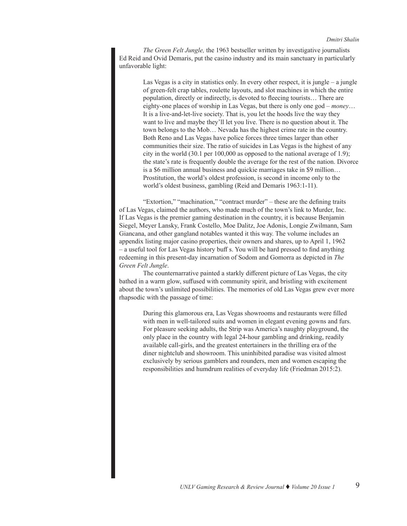*The Green Felt Jungle,* the 1963 bestseller written by investigative journalists Ed Reid and Ovid Demaris, put the casino industry and its main sanctuary in particularly unfavorable light:

Las Vegas is a city in statistics only. In every other respect, it is jungle  $-$  a jungle of green-felt crap tables, roulette layouts, and slot machines in which the entire population, directly or indirectly, is devoted to fleecing tourists… There are eighty-one places of worship in Las Vegas, but there is only one god – *money*… It is a live-and-let-live society. That is, you let the hoods live the way they want to live and maybe they'll let you live. There is no question about it. The town belongs to the Mob… Nevada has the highest crime rate in the country. Both Reno and Las Vegas have police forces three times larger than other communities their size. The ratio of suicides in Las Vegas is the highest of any city in the world (30.1 per 100,000 as opposed to the national average of 1.9); the state's rate is frequently double the average for the rest of the nation. Divorce is a \$6 million annual business and quickie marriages take in \$9 million… Prostitution, the world's oldest profession, is second in income only to the world's oldest business, gambling (Reid and Demaris 1963:1-11).

"Extortion," "machination," "contract murder" – these are the defining traits of Las Vegas, claimed the authors, who made much of the town's link to Murder, Inc. If Las Vegas is the premier gaming destination in the country, it is because Benjamin Siegel, Meyer Lansky, Frank Costello, Moe Dalitz, Joe Adonis, Longie Zwilmann, Sam Giancana, and other gangland notables wanted it this way. The volume includes an appendix listing major casino properties, their owners and shares, up to April 1, 1962 – a useful tool for Las Vegas history buff s. You will be hard pressed to find anything redeeming in this present-day incarnation of Sodom and Gomorra as depicted in *The Green Felt Jungle*.

The counternarrative painted a starkly different picture of Las Vegas, the city bathed in a warm glow, suffused with community spirit, and bristling with excitement about the town's unlimited possibilities. The memories of old Las Vegas grew ever more rhapsodic with the passage of time:

> During this glamorous era, Las Vegas showrooms and restaurants were filled with men in well-tailored suits and women in elegant evening gowns and furs. For pleasure seeking adults, the Strip was America's naughty playground, the only place in the country with legal 24-hour gambling and drinking, readily available call-girls, and the greatest entertainers in the thrilling era of the diner nightclub and showroom. This uninhibited paradise was visited almost exclusively by serious gamblers and rounders, men and women escaping the responsibilities and humdrum realities of everyday life (Friedman 2015:2).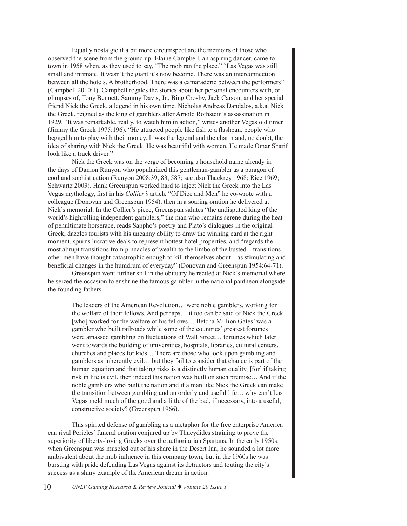Equally nostalgic if a bit more circumspect are the memoirs of those who observed the scene from the ground up. Elaine Campbell, an aspiring dancer, came to town in 1958 when, as they used to say, "The mob ran the place." "Las Vegas was still small and intimate. It wasn't the giant it's now become. There was an interconnection between all the hotels. A brotherhood. There was a camaraderie between the performers" (Campbell 2010:1). Campbell regales the stories about her personal encounters with, or glimpses of, Tony Bennett, Sammy Davis, Jr., Bing Crosby, Jack Carson, and her special friend Nick the Greek, a legend in his own time. Nicholas Andreas Dandalos, a.k.a. Nick the Greek, reigned as the king of gamblers after Arnold Rothstein's assassination in 1929. "It was remarkable, really, to watch him in action," writes another Vegas old timer (Jimmy the Greek 1975:196). "He attracted people like fish to a flashpan, people who begged him to play with their money. It was the legend and the charm and, no doubt, the idea of sharing with Nick the Greek. He was beautiful with women. He made Omar Sharif look like a truck driver."

Nick the Greek was on the verge of becoming a household name already in the days of Damon Runyon who popularized this gentleman-gambler as a paragon of cool and sophistication (Runyon 2008:39, 83, 587; see also Thackrey 1968; Rice 1969; Schwartz 2003). Hank Greenspun worked hard to inject Nick the Greek into the Las Vegas mythology, first in his *Collier's* article "Of Dice and Men" he co-wrote with a colleague (Donovan and Greenspun 1954), then in a soaring oration he delivered at Nick's memorial. In the Collier's piece, Greenspun salutes "the undisputed king of the world's highrolling independent gamblers," the man who remains serene during the heat of penultimate horserace, reads Sappho's poetry and Plato's dialogues in the original Greek, dazzles tourists with his uncanny ability to draw the winning card at the right moment, spurns lucrative deals to represent hottest hotel properties, and "regards the most abrupt transitions from pinnacles of wealth to the limbo of the busted – transitions other men have thought catastrophic enough to kill themselves about – as stimulating and beneficial changes in the humdrum of everyday" (Donovan and Greenspun 1954:64-71).

Greenspun went further still in the obituary he recited at Nick's memorial where he seized the occasion to enshrine the famous gambler in the national pantheon alongside the founding fathers.

> The leaders of the American Revolution… were noble gamblers, working for the welfare of their fellows. And perhaps… it too can be said of Nick the Greek [who] worked for the welfare of his fellows... Betcha Million Gates' was a gambler who built railroads while some of the countries' greatest fortunes were amassed gambling on fluctuations of Wall Street… fortunes which later went towards the building of universities, hospitals, libraries, cultural centers, churches and places for kids… There are those who look upon gambling and gamblers as inherently evil… but they fail to consider that chance is part of the human equation and that taking risks is a distinctly human quality, [for] if taking risk in life is evil, then indeed this nation was built on such premise… And if the noble gamblers who built the nation and if a man like Nick the Greek can make the transition between gambling and an orderly and useful life… why can't Las Vegas meld much of the good and a little of the bad, if necessary, into a useful, constructive society? (Greenspun 1966).

This spirited defense of gambling as a metaphor for the free enterprise America can rival Pericles' funeral oration conjured up by Thucydides straining to prove the superiority of liberty-loving Greeks over the authoritarian Spartans. In the early 1950s, when Greenspun was muscled out of his share in the Desert Inn, he sounded a lot more ambivalent about the mob influence in this company town, but in the 1960s he was bursting with pride defending Las Vegas against its detractors and touting the city's success as a shiny example of the American dream in action.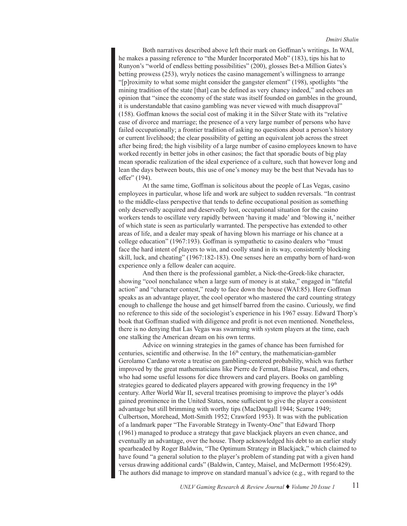Both narratives described above left their mark on Goffman's writings. In WAI, he makes a passing reference to "the Murder Incorporated Mob" (183), tips his hat to Runyon's "world of endless betting possibilities" (200), glosses Bet-a Million Gates's betting prowess (253), wryly notices the casino management's willingness to arrange "[p]roximity to what some might consider the gangster element" (198), spotlights "the mining tradition of the state [that] can be defined as very chancy indeed," and echoes an opinion that "since the economy of the state was itself founded on gambles in the ground, it is understandable that casino gambling was never viewed with much disapproval" (158). Goffman knows the social cost of making it in the Silver State with its "relative ease of divorce and marriage; the presence of a very large number of persons who have failed occupationally; a frontier tradition of asking no questions about a person's history or current livelihood; the clear possibility of getting an equivalent job across the street after being fired; the high visibility of a large number of casino employees known to have worked recently in better jobs in other casinos; the fact that sporadic bouts of big play mean sporadic realization of the ideal experience of a culture, such that however long and lean the days between bouts, this use of one's money may be the best that Nevada has to offer" (194).

At the same time, Goffman is solicitous about the people of Las Vegas, casino employees in particular, whose life and work are subject to sudden reversals. "In contrast to the middle-class perspective that tends to define occupational position as something only deservedly acquired and deservedly lost, occupational situation for the casino workers tends to oscillate very rapidly between 'having it made' and 'blowing it,' neither of which state is seen as particularly warranted. The perspective has extended to other areas of life, and a dealer may speak of having blown his marriage or his chance at a college education" (1967:193). Goffman is sympathetic to casino dealers who "must face the hard intent of players to win, and coolly stand in its way, consistently blocking skill, luck, and cheating" (1967:182-183). One senses here an empathy born of hard-won experience only a fellow dealer can acquire.

And then there is the professional gambler, a Nick-the-Greek-like character, showing "cool nonchalance when a large sum of money is at stake," engaged in "fateful action" and "character contest," ready to face down the house (WAI:85). Here Goffman speaks as an advantage player, the cool operator who mastered the card counting strategy enough to challenge the house and get himself barred from the casino. Curiously, we find no reference to this side of the sociologist's experience in his 1967 essay. Edward Thorp's book that Goffman studied with diligence and profit is not even mentioned. Nonetheless, there is no denying that Las Vegas was swarming with system players at the time, each one stalking the American dream on his own terms.

Advice on winning strategies in the games of chance has been furnished for centuries, scientific and otherwise. In the  $16<sup>th</sup>$  century, the mathematician-gambler Gerolamo Cardano wrote a treatise on gambling-centered probability, which was further improved by the great mathematicians like Pierre de Fermat, Blaise Pascal, and others, who had some useful lessons for dice throwers and card players. Books on gambling strategies geared to dedicated players appeared with growing frequency in the 19th century. After World War II, several treatises promising to improve the player's odds gained prominence in the United States, none sufficient to give the player a consistent advantage but still brimming with worthy tips (MacDougall 1944; Scarne 1949; Culbertson, Morehead, Mott-Smith 1952; Crawford 1953). It was with the publication of a landmark paper "The Favorable Strategy in Twenty-One" that Edward Thorp (1961) managed to produce a strategy that gave blackjack players an even chance, and eventually an advantage, over the house. Thorp acknowledged his debt to an earlier study spearheaded by Roger Baldwin, "The Optimum Strategy in Blackjack," which claimed to have found "a general solution to the player's problem of standing pat with a given hand versus drawing additional cards" (Baldwin, Cantey, Maisel, and McDermott 1956:429). The authors did manage to improve on standard manual's advice (e.g., with regard to the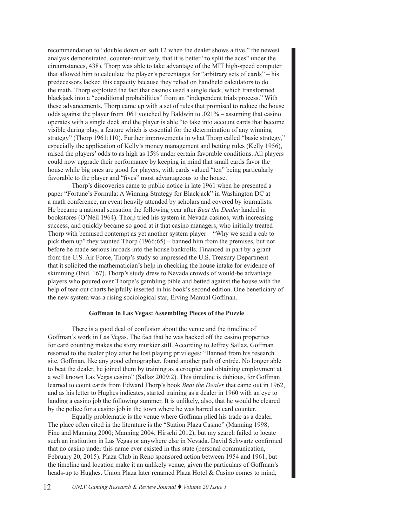recommendation to "double down on soft 12 when the dealer shows a five," the newest analysis demonstrated, counter-intuitively, that it is better "to split the aces" under the circumstances, 438). Thorp was able to take advantage of the MIT high-speed computer that allowed him to calculate the player's percentages for "arbitrary sets of cards" – his predecessors lacked this capacity because they relied on handheld calculators to do the math. Thorp exploited the fact that casinos used a single deck, which transformed blackjack into a "conditional probabilities" from an "independent trials process." With these advancements, Thorp came up with a set of rules that promised to reduce the house odds against the player from .061 vouched by Baldwin to .021% – assuming that casino operates with a single deck and the player is able "to take into account cards that become visible during play, a feature which is essential for the determination of any winning strategy" (Thorp 1961:110). Further improvements in what Thorp called "basic strategy," especially the application of Kelly's money management and betting rules (Kelly 1956), raised the players' odds to as high as 15% under certain favorable conditions. All players could now upgrade their performance by keeping in mind that small cards favor the house while big ones are good for players, with cards valued "ten" being particularly favorable to the player and "fives" most advantageous to the house.

Thorp's discoveries came to public notice in late 1961 when he presented a paper "Fortune's Formula: A Winning Strategy for Blackjack" in Washington DC at a math conference, an event heavily attended by scholars and covered by journalists. He became a national sensation the following year after *Beat the Dealer* landed in bookstores (O'Neil 1964). Thorp tried his system in Nevada casinos, with increasing success, and quickly became so good at it that casino managers, who initially treated Thorp with bemused contempt as yet another system player – "Why we send a cab to pick them up" they taunted Thorp (1966:65) – banned him from the premises, but not before he made serious inroads into the house bankrolls. Financed in part by a grant from the U.S. Air Force, Thorp's study so impressed the U.S. Treasury Department that it solicited the mathematician's help in checking the house intake for evidence of skimming (Ibid. 167). Thorp's study drew to Nevada crowds of would-be advantage players who poured over Thorpe's gambling bible and betted against the house with the help of tear-out charts helpfully inserted in his book's second edition. One beneficiary of the new system was a rising sociological star, Erving Manual Goffman.

#### **Goffman in Las Vegas: Assembling Pieces of the Puzzle**

There is a good deal of confusion about the venue and the timeline of Goffman's work in Las Vegas. The fact that he was backed off the casino properties for card counting makes the story murkier still. According to Jeffrey Sallaz, Goffman resorted to the dealer ploy after he lost playing privileges: "Banned from his research site, Goffman, like any good ethnographer, found another path of entrée. No longer able to beat the dealer, he joined them by training as a croupier and obtaining employment at a well known Las Vegas casino" (Sallaz 2009:2). This timeline is dubious, for Goffman learned to count cards from Edward Thorp's book *Beat the Dealer* that came out in 1962, and as his letter to Hughes indicates, started training as a dealer in 1960 with an eye to landing a casino job the following summer. It is unlikely, also, that he would be cleared by the police for a casino job in the town where he was barred as card counter.

Equally problematic is the venue where Goffman plied his trade as a dealer. The place often cited in the literature is the "Station Plaza Casino" (Manning 1998; Fine and Manning 2000; Manning 2004; Hirschi 2012), but my search failed to locate such an institution in Las Vegas or anywhere else in Nevada. David Schwartz confirmed that no casino under this name ever existed in this state (personal communication, February 20, 2015). Plaza Club in Reno sponsored action between 1954 and 1961, but the timeline and location make it an unlikely venue, given the particulars of Goffman's heads-up to Hughes. Union Plaza later renamed Plaza Hotel & Casino comes to mind,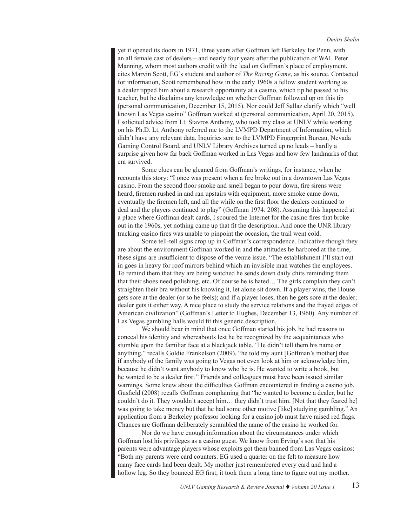yet it opened its doors in 1971, three years after Goffman left Berkeley for Penn, with an all female cast of dealers – and nearly four years after the publication of WAI. Peter Manning, whom most authors credit with the lead on Goffman's place of employment, cites Marvin Scott, EG's student and author of *The Racing Game*, as his source. Contacted for information, Scott remembered how in the early 1960s a fellow student working as a dealer tipped him about a research opportunity at a casino, which tip he passed to his teacher, but he disclaims any knowledge on whether Goffman followed up on this tip (personal communication, December 15, 2015). Nor could Jeff Sallaz clarify which "well known Las Vegas casino" Goffman worked at (personal communication, April 20, 2015). I solicited advice from Lt. Stavros Anthony, who took my class at UNLV while working on his Ph.D. Lt. Anthony referred me to the LVMPD Department of Information, which didn't have any relevant data. Inquiries sent to the LVMPD Fingerprint Bureau, Nevada Gaming Control Board, and UNLV Library Archives turned up no leads – hardly a surprise given how far back Goffman worked in Las Vegas and how few landmarks of that era survived.

Some clues can be gleaned from Goffman's writings, for instance, when he recounts this story: "I once was present when a fire broke out in a downtown Las Vegas casino. From the second floor smoke and smell began to pour down, fire sirens were heard, firemen rushed in and ran upstairs with equipment, more smoke came down, eventually the firemen left, and all the while on the first floor the dealers continued to deal and the players continued to play" (Goffman 1974: 208). Assuming this happened at a place where Goffman dealt cards, I scoured the Internet for the casino fires that broke out in the 1960s, yet nothing came up that fit the description. And once the UNR library tracking casino fires was unable to pinpoint the occasion, the trail went cold.

Some tell-tell signs crop up in Goffman's correspondence. Indicative though they are about the environment Goffman worked in and the attitudes he harbored at the time, these signs are insufficient to dispose of the venue issue. "The establishment I'll start out in goes in heavy for roof mirrors behind which an invisible man watches the employees. To remind them that they are being watched he sends down daily chits reminding them that their shoes need polishing, etc. Of course he is hated… The girls complain they can't straighten their bra without his knowing it, let alone sit down. If a player wins, the House gets sore at the dealer (or so he feels); and if a player loses, then he gets sore at the dealer; dealer gets it either way. A nice place to study the service relations and the frayed edges of American civilization" (Goffman's Letter to Hughes, December 13, 1960). Any number of Las Vegas gambling halls would fit this generic description.

We should bear in mind that once Goffman started his job, he had reasons to conceal his identity and whereabouts lest he be recognized by the acquaintances who stumble upon the familiar face at a blackjack table. "He didn't tell them his name or anything," recalls Goldie Frankelson (2009), "he told my aunt [Goffman's mother] that if anybody of the family was going to Vegas not even look at him or acknowledge him, because he didn't want anybody to know who he is. He wanted to write a book, but he wanted to be a dealer first." Friends and colleagues must have been issued similar warnings. Some knew about the difficulties Goffman encountered in finding a casino job. Gusfield (2008) recalls Goffman complaining that "he wanted to become a dealer, but he couldn't do it. They wouldn't accept him… they didn't trust him. [Not that they feared he] was going to take money but that he had some other motive [like] studying gambling." An application from a Berkeley professor looking for a casino job must have raised red flags. Chances are Goffman deliberately scrambled the name of the casino he worked for.

Nor do we have enough information about the circumstances under which Goffman lost his privileges as a casino guest. We know from Erving's son that his parents were advantage players whose exploits got them banned from Las Vegas casinos: "Both my parents were card counters. EG used a quarter on the felt to measure how many face cards had been dealt. My mother just remembered every card and had a hollow leg. So they bounced EG first; it took them a long time to figure out my mother.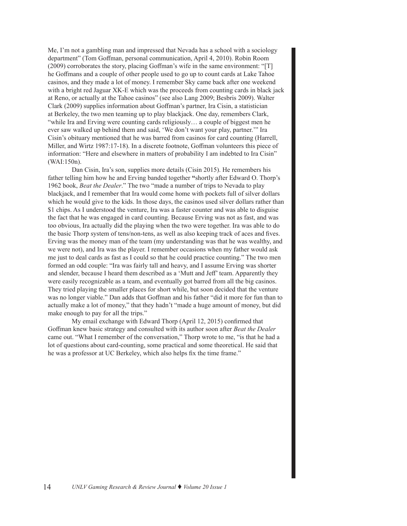Me, I'm not a gambling man and impressed that Nevada has a school with a sociology department" (Tom Goffman, personal communication, April 4, 2010). Robin Room (2009) corroborates the story, placing Goffman's wife in the same environment: "[T] he Goffmans and a couple of other people used to go up to count cards at Lake Tahoe casinos, and they made a lot of money. I remember Sky came back after one weekend with a bright red Jaguar XK-E which was the proceeds from counting cards in black jack at Reno, or actually at the Tahoe casinos" (see also Lang 2009; Besbris 2009). Walter Clark (2009) supplies information about Goffman's partner, Ira Cisin, a statistician at Berkeley, the two men teaming up to play blackjack. One day, remembers Clark, "while Ira and Erving were counting cards religiously… a couple of biggest men he ever saw walked up behind them and said, 'We don't want your play, partner.'" Ira Cisin's obituary mentioned that he was barred from casinos for card counting (Harrell, Miller, and Wirtz 1987:17-18). In a discrete footnote, Goffman volunteers this piece of information: "Here and elsewhere in matters of probability I am indebted to Ira Cisin" (WAI:150n).

Dan Cisin, Ira's son, supplies more details (Cisin 2015). He remembers his father telling him how he and Erving banded together **"**shortly after Edward O. Thorp's 1962 book, *Beat the Dealer*." The two "made a number of trips to Nevada to play blackjack, and I remember that Ira would come home with pockets full of silver dollars which he would give to the kids. In those days, the casinos used silver dollars rather than \$1 chips. As I understood the venture, Ira was a faster counter and was able to disguise the fact that he was engaged in card counting. Because Erving was not as fast, and was too obvious, Ira actually did the playing when the two were together. Ira was able to do the basic Thorp system of tens/non-tens, as well as also keeping track of aces and fives. Erving was the money man of the team (my understanding was that he was wealthy, and we were not), and Ira was the player. I remember occasions when my father would ask me just to deal cards as fast as I could so that he could practice counting." The two men formed an odd couple: "Ira was fairly tall and heavy, and I assume Erving was shorter and slender, because I heard them described as a 'Mutt and Jeff' team. Apparently they were easily recognizable as a team, and eventually got barred from all the big casinos. They tried playing the smaller places for short while, but soon decided that the venture was no longer viable." Dan adds that Goffman and his father "did it more for fun than to actually make a lot of money," that they hadn't "made a huge amount of money, but did make enough to pay for all the trips."

My email exchange with Edward Thorp (April 12, 2015) confirmed that Goffman knew basic strategy and consulted with its author soon after *Beat the Dealer* came out. "What I remember of the conversation," Thorp wrote to me, "is that he had a lot of questions about card-counting, some practical and some theoretical. He said that he was a professor at UC Berkeley, which also helps fix the time frame."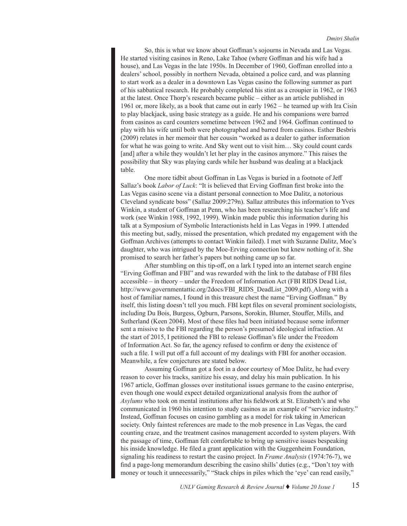So, this is what we know about Goffman's sojourns in Nevada and Las Vegas. He started visiting casinos in Reno, Lake Tahoe (where Goffman and his wife had a house), and Las Vegas in the late 1950s. In December of 1960, Goffman enrolled into a dealers' school, possibly in northern Nevada, obtained a police card, and was planning to start work as a dealer in a downtown Las Vegas casino the following summer as part of his sabbatical research. He probably completed his stint as a croupier in 1962, or 1963 at the latest. Once Thorp's research became public – either as an article published in 1961 or, more likely, as a book that came out in early 1962 – he teamed up with Ira Cisin to play blackjack, using basic strategy as a guide. He and his companions were barred from casinos as card counters sometime between 1962 and 1964. Goffman continued to play with his wife until both were photographed and barred from casinos. Esther Besbris (2009) relates in her memoir that her cousin "worked as a dealer to gather information for what he was going to write. And Sky went out to visit him… Sky could count cards [and] after a while they wouldn't let her play in the casinos anymore." This raises the possibility that Sky was playing cards while her husband was dealing at a blackjack table.

 One more tidbit about Goffman in Las Vegas is buried in a footnote of Jeff Sallaz's book *Labor of Luck*: "It is believed that Erving Goffman first broke into the Las Vegas casino scene via a distant personal connection to Moe Dalitz, a notorious Cleveland syndicate boss" (Sallaz 2009:279n). Sallaz attributes this information to Yves Winkin, a student of Goffman at Penn, who has been researching his teacher's life and work (see Winkin 1988, 1992, 1999). Winkin made public this information during his talk at a Symposium of Symbolic Interactionists held in Las Vegas in 1999. I attended this meeting but, sadly, missed the presentation, which predated my engagement with the Goffman Archives (attempts to contact Winkin failed). I met with Suzanne Dalitz, Moe's daughter, who was intrigued by the Moe-Erving connection but knew nothing of it. She promised to search her father's papers but nothing came up so far.

After stumbling on this tip-off, on a lark I typed into an internet search engine "Erving Goffman and FBI" and was rewarded with the link to the database of FBI files accessible – in theory – under the Freedom of Information Act (FBI RIDS Dead List, [http://www.governmentattic.org/2docs/FBI\\_RIDS\\_DeadList\\_2009.pdf](http://none)). Along with a host of familiar names, I found in this treasure chest the name "Erving Goffman." By itself, this listing doesn't tell you much. FBI kept files on several prominent sociologists, including Du Bois, Burgess, Ogburn, Parsons, Sorokin, Blumer, Stouffer, Mills, and Sutherland (Keen 2004). Most of these files had been initiated because some informer sent a missive to the FBI regarding the person's presumed ideological infraction. At the start of 2015, I petitioned the FBI to release Goffman's file under the Freedom of Information Act. So far, the agency refused to confirm or deny the existence of such a file. I will put off a full account of my dealings with FBI for another occasion. Meanwhile, a few conjectures are stated below.

Assuming Goffman got a foot in a door courtesy of Moe Dalitz, he had every reason to cover his tracks, sanitize his essay, and delay his main publication. In his 1967 article, Goffman glosses over institutional issues germane to the casino enterprise, even though one would expect detailed organizational analysis from the author of *Asylums* who took on mental institutions after his fieldwork at St. Elizabeth's and who communicated in 1960 his intention to study casinos as an example of "service industry." Instead, Goffman focuses on casino gambling as a model for risk taking in American society. Only faintest references are made to the mob presence in Las Vegas, the card counting craze, and the treatment casinos management accorded to system players. With the passage of time, Goffman felt comfortable to bring up sensitive issues bespeaking his inside knowledge. He filed a grant application with the Guggenheim Foundation, signaling his readiness to restart the casino project. In *Frame Analysis* (1974:76-7), we find a page-long memorandum describing the casino shills' duties (e.g., "Don't toy with money or touch it unnecessarily," "Stack chips in piles which the 'eye' can read easily,"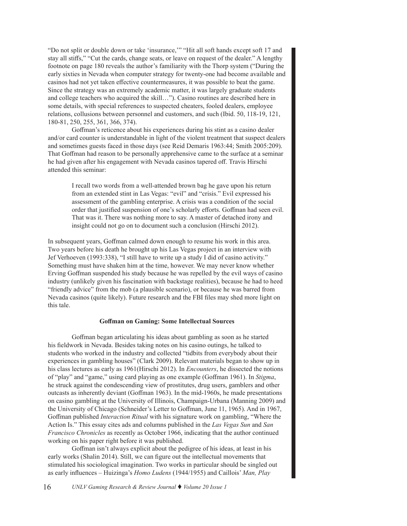"Do not split or double down or take 'insurance,'" "Hit all soft hands except soft 17 and stay all stiffs," "Cut the cards, change seats, or leave on request of the dealer." A lengthy footnote on page 180 reveals the author's familiarity with the Thorp system ("During the early sixties in Nevada when computer strategy for twenty-one had become available and casinos had not yet taken effective countermeasures, it was possible to beat the game. Since the strategy was an extremely academic matter, it was largely graduate students and college teachers who acquired the skill…"). Casino routines are described here in some details, with special references to suspected cheaters, fooled dealers, employee relations, collusions between personnel and customers, and such (Ibid. 50, 118-19, 121, 180-81, 250, 255, 361, 366, 374).

Goffman's reticence about his experiences during his stint as a casino dealer and/or card counter is understandable in light of the violent treatment that suspect dealers and sometimes guests faced in those days (see Reid Demaris 1963:44; Smith 2005:209). That Goffman had reason to be personally apprehensive came to the surface at a seminar he had given after his engagement with Nevada casinos tapered off. Travis Hirschi attended this seminar:

I recall two words from a well-attended brown bag he gave upon his return from an extended stint in Las Vegas: "evil" and "crisis." Evil expressed his assessment of the gambling enterprise. A crisis was a condition of the social order that justified suspension of one's scholarly efforts. Goffman had seen evil. That was it. There was nothing more to say. A master of detached irony and insight could not go on to document such a conclusion (Hirschi 2012).

In subsequent years, Goffman calmed down enough to resume his work in this area. Two years before his death he brought up his Las Vegas project in an interview with Jef Verhoeven (1993:338), "I still have to write up a study I did of casino activity." Something must have shaken him at the time, however. We may never know whether Erving Goffman suspended his study because he was repelled by the evil ways of casino industry (unlikely given his fascination with backstage realities), because he had to heed "friendly advice" from the mob (a plausible scenario), or because he was barred from Nevada casinos (quite likely). Future research and the FBI files may shed more light on this tale.

# **Goffman on Gaming: Some Intellectual Sources**

Goffman began articulating his ideas about gambling as soon as he started his fieldwork in Nevada. Besides taking notes on his casino outings, he talked to students who worked in the industry and collected "tidbits from everybody about their experiences in gambling houses" (Clark 2009). Relevant materials began to show up in his class lectures as early as 1961(Hirschi 2012). In *Encounters*, he dissected the notions of "play" and "game," using card playing as one example (Goffman 1961). In *Stigma*, he struck against the condescending view of prostitutes, drug users, gamblers and other outcasts as inherently deviant (Goffman 1963). In the mid-1960s, he made presentations on casino gambling at the University of Illinois, Champaign-Urbana (Manning 2009) and the University of Chicago (Schneider's Letter to Goffman, June 11, 1965). And in 1967, Goffman published *Interaction Ritual* with his signature work on gambling, "Where the Action Is." This essay cites ads and columns published in the *Las Vegas Sun* and *San Francisco Chronicles* as recently as October 1966, indicating that the author continued working on his paper right before it was published.

Goffman isn't always explicit about the pedigree of his ideas, at least in his early works (Shalin 2014). Still, we can figure out the intellectual movements that stimulated his sociological imagination. Two works in particular should be singled out as early influences – Huizinga's *Homo Ludens* (1944/1955) and Caillois' *Man, Play*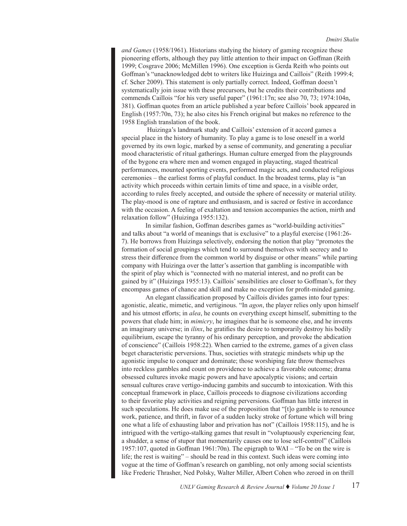*and Games* (1958/1961). Historians studying the history of gaming recognize these pioneering efforts, although they pay little attention to their impact on Goffman (Reith 1999; Cosgrave 2006; McMillen 1996). One exception is Gerda Reith who points out Goffman's "unacknowledged debt to writers like Huizinga and Caillois" (Reith 1999:4; cf. Scher 2009). This statement is only partially correct. Indeed, Goffman doesn't systematically join issue with these precursors, but he credits their contributions and commends Caillois "for his very useful paper" (1961:17n; see also 70, 73; 1974:104n, 381). Goffman quotes from an article published a year before Caillois' book appeared in English (1957:70n, 73); he also cites his French original but makes no reference to the 1958 English translation of the book.

 Huizinga's landmark study and Caillois' extension of it accord games a special place in the history of humanity. To play a game is to lose oneself in a world governed by its own logic, marked by a sense of community, and generating a peculiar mood characteristic of ritual gatherings. Human culture emerged from the playgrounds of the bygone era where men and women engaged in playacting, staged theatrical performances, mounted sporting events, performed magic acts, and conducted religious ceremonies – the earliest forms of playful conduct. In the broadest terms, play is "an activity which proceeds within certain limits of time and space, in a visible order, according to rules freely accepted, and outside the sphere of necessity or material utility. The play-mood is one of rapture and enthusiasm, and is sacred or festive in accordance with the occasion. A feeling of exaltation and tension accompanies the action, mirth and relaxation follow" (Huizinga 1955:132).

In similar fashion, Goffman describes games as "world-building activities" and talks about "a world of meanings that is exclusive" to a playful exercise (1961:26- 7). He borrows from Huizinga selectively, endorsing the notion that play "promotes the formation of social groupings which tend to surround themselves with secrecy and to stress their difference from the common world by disguise or other means" while parting company with Huizinga over the latter's assertion that gambling is incompatible with the spirit of play which is "connected with no material interest, and no profit can be gained by it" (Huizinga 1955:13). Caillois' sensibilities are closer to Goffman's, for they encompass games of chance and skill and make no exception for profit-minded gaming.

An elegant classification proposed by Caillois divides games into four types: agonistic, aleatic, mimetic, and vertiginous. "In *agon*, the player relies only upon himself and his utmost efforts; in *alea*, he counts on everything except himself, submitting to the powers that elude him; in *mimicry*, he imagines that he is someone else, and he invents an imaginary universe; in *ilinx*, he gratifies the desire to temporarily destroy his bodily equilibrium, escape the tyranny of his ordinary perception, and provoke the abdication of conscience" (Caillois 1958:22). When carried to the extreme, games of a given class beget characteristic perversions. Thus, societies with strategic mindsets whip up the agonistic impulse to conquer and dominate; those worshiping fate throw themselves into reckless gambles and count on providence to achieve a favorable outcome; drama obsessed cultures invoke magic powers and have apocalyptic visions; and certain sensual cultures crave vertigo-inducing gambits and succumb to intoxication. With this conceptual framework in place, Caillois proceeds to diagnose civilizations according to their favorite play activities and reigning perversions. Goffman has little interest in such speculations. He does make use of the proposition that "[t]o gamble is to renounce work, patience, and thrift, in favor of a sudden lucky stroke of fortune which will bring one what a life of exhausting labor and privation has not" (Caillois 1958:115), and he is intrigued with the vertigo-stalking games that result in "voluptuously experiencing fear, a shudder, a sense of stupor that momentarily causes one to lose self-control" (Caillois 1957:107, quoted in Goffman 1961:70n). The epigraph to WAI – "To be on the wire is life; the rest is waiting" – should be read in this context. Such ideas were coming into vogue at the time of Goffman's research on gambling, not only among social scientists like Frederic Thrasher, Ned Polsky, Walter Miller, Albert Cohen who zeroed in on thrill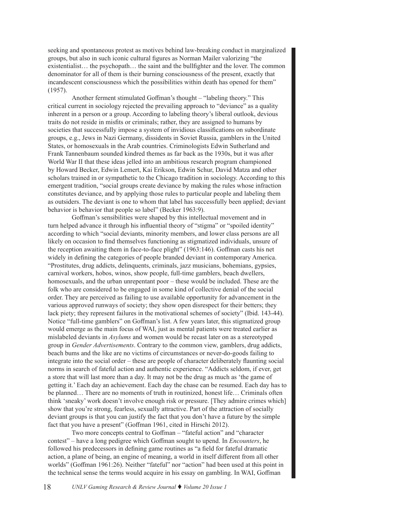seeking and spontaneous protest as motives behind law-breaking conduct in marginalized groups, but also in such iconic cultural figures as Norman Mailer valorizing "the existentialist… the psychopath… the saint and the bullfighter and the lover. The common denominator for all of them is their burning consciousness of the present, exactly that incandescent consciousness which the possibilities within death has opened for them" (1957).

Another ferment stimulated Goffman's thought – "labeling theory." This critical current in sociology rejected the prevailing approach to "deviance" as a quality inherent in a person or a group. According to labeling theory's liberal outlook, devious traits do not reside in misfits or criminals; rather, they are assigned to humans by societies that successfully impose a system of invidious classifications on subordinate groups, e.g., Jews in Nazi Germany, dissidents in Soviet Russia, gamblers in the United States, or homosexuals in the Arab countries. Criminologists Edwin Sutherland and Frank Tannenbaum sounded kindred themes as far back as the 1930s, but it was after World War II that these ideas jelled into an ambitious research program championed by Howard Becker, Edwin Lemert, Kai Erikson, Edwin Schur, David Matza and other scholars trained in or sympathetic to the Chicago tradition in sociology. According to this emergent tradition, "social groups create deviance by making the rules whose infraction constitutes deviance, and by applying those rules to particular people and labeling them as outsiders. The deviant is one to whom that label has successfully been applied; deviant behavior is behavior that people so label" (Becker 1963:9).

Goffman's sensibilities were shaped by this intellectual movement and in turn helped advance it through his influential theory of "stigma" or "spoiled identity" according to which "social deviants, minority members, and lower class persons are all likely on occasion to find themselves functioning as stigmatized individuals, unsure of the reception awaiting them in face-to-face plight" (1963:146). Goffman casts his net widely in defining the categories of people branded deviant in contemporary America. "Prostitutes, drug addicts, delinquents, criminals, jazz musicians, bohemians, gypsies, carnival workers, hobos, winos, show people, full-time gamblers, beach dwellers, homosexuals, and the urban unrepentant poor – these would be included. These are the folk who are considered to be engaged in some kind of collective denial of the social order. They are perceived as failing to use available opportunity for advancement in the various approved runways of society; they show open disrespect for their betters; they lack piety; they represent failures in the motivational schemes of society" (Ibid. 143-44). Notice "full-time gamblers" on Goffman's list. A few years later, this stigmatized group would emerge as the main focus of WAI, just as mental patients were treated earlier as mislabeled deviants in *Asylums* and women would be recast later on as a stereotyped group in *Gender Advertisements*. Contrary to the common view, gamblers, drug addicts, beach bums and the like are no victims of circumstances or never-do-goods failing to integrate into the social order – these are people of character deliberately flaunting social norms in search of fateful action and authentic experience. "Addicts seldom, if ever, get a store that will last more than a day. It may not be the drug as much as 'the game of getting it.' Each day an achievement. Each day the chase can be resumed. Each day has to be planned… There are no moments of truth in routinized, honest life… Criminals often think 'sneaky' work doesn't involve enough risk or pressure. [They admire crimes which] show that you're strong, fearless, sexually attractive. Part of the attraction of socially deviant groups is that you can justify the fact that you don't have a future by the simple fact that you have a present" (Goffman 1961, cited in Hirschi 2012).

Two more concepts central to Goffman – "fateful action" and "character contest" – have a long pedigree which Goffman sought to upend. In *Encounters*, he followed his predecessors in defining game routines as "a field for fateful dramatic action, a plane of being, an engine of meaning, a world in itself different from all other worlds" (Goffman 1961:26). Neither "fateful" nor "action" had been used at this point in the technical sense the terms would acquire in his essay on gambling. In WAI, Goffman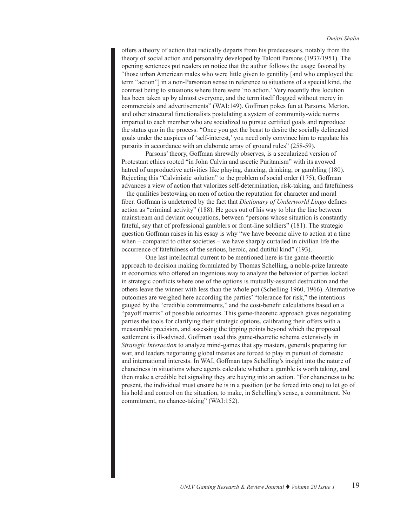offers a theory of action that radically departs from his predecessors, notably from the theory of social action and personality developed by Talcott Parsons (1937/1951). The opening sentences put readers on notice that the author follows the usage favored by "those urban American males who were little given to gentility [and who employed the term "action"] in a non-Parsonian sense in reference to situations of a special kind, the contrast being to situations where there were 'no action.' Very recently this locution has been taken up by almost everyone, and the term itself flogged without mercy in commercials and advertisements" (WAI:149). Goffman pokes fun at Parsons, Merton, and other structural functionalists postulating a system of community-wide norms imparted to each member who are socialized to pursue certified goals and reproduce the status quo in the process. "Once you get the beast to desire the socially delineated goals under the auspices of 'self-interest,' you need only convince him to regulate his pursuits in accordance with an elaborate array of ground rules" (258-59).

Parsons' theory, Goffman shrewdly observes, is a secularized version of Protestant ethics rooted "in John Calvin and ascetic Puritanism" with its avowed hatred of unproductive activities like playing, dancing, drinking, or gambling (180). Rejecting this "Calvinistic solution" to the problem of social order (175), Goffman advances a view of action that valorizes self-determination, risk-taking, and fatefulness – the qualities bestowing on men of action the reputation for character and moral fiber. Goffman is undeterred by the fact that *Dictionary of Underworld Lingo* defines action as "criminal activity" (188). He goes out of his way to blur the line between mainstream and deviant occupations, between "persons whose situation is constantly fateful, say that of professional gamblers or front-line soldiers" (181). The strategic question Goffman raises in his essay is why "we have become alive to action at a time when – compared to other societies – we have sharply curtailed in civilian life the occurrence of fatefulness of the serious, heroic, and dutiful kind" (193).

One last intellectual current to be mentioned here is the game-theoretic approach to decision making formulated by Thomas Schelling, a noble-prize laureate in economics who offered an ingenious way to analyze the behavior of parties locked in strategic conflicts where one of the options is mutually-assured destruction and the others leave the winner with less than the whole pot (Schelling 1960, 1966). Alternative outcomes are weighed here according the parties' "tolerance for risk," the intentions gauged by the "credible commitments," and the cost-benefit calculations based on a "payoff matrix" of possible outcomes. This game-theoretic approach gives negotiating parties the tools for clarifying their strategic options, calibrating their offers with a measurable precision, and assessing the tipping points beyond which the proposed settlement is ill-advised. Goffman used this game-theoretic schema extensively in *Strategic Interaction* to analyze mind-games that spy masters, generals preparing for war, and leaders negotiating global treaties are forced to play in pursuit of domestic and international interests. In WAI, Goffman taps Schelling's insight into the nature of chanciness in situations where agents calculate whether a gamble is worth taking, and then make a credible bet signaling they are buying into an action. "For chanciness to be present, the individual must ensure he is in a position (or be forced into one) to let go of his hold and control on the situation, to make, in Schelling's sense, a commitment. No commitment, no chance-taking" (WAI:152).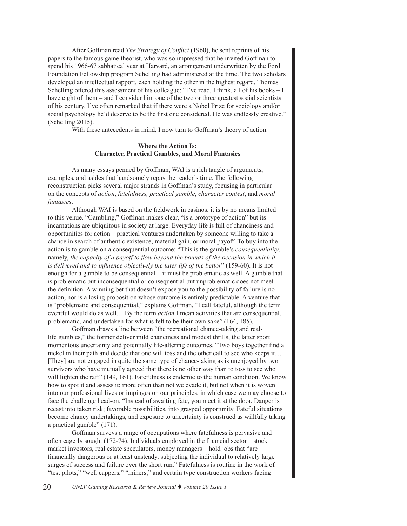After Goffman read *The Strategy of Conflict* (1960), he sent reprints of his papers to the famous game theorist, who was so impressed that he invited Goffman to spend his 1966-67 sabbatical year at Harvard, an arrangement underwritten by the Ford Foundation Fellowship program Schelling had administered at the time. The two scholars developed an intellectual rapport, each holding the other in the highest regard. Thomas Schelling offered this assessment of his colleague: "I've read, I think, all of his books – I have eight of them – and I consider him one of the two or three greatest social scientists of his century. I've often remarked that if there were a Nobel Prize for sociology and/or social psychology he'd deserve to be the first one considered. He was endlessly creative." (Schelling 2015).

With these antecedents in mind, I now turn to Goffman's theory of action.

# **Where the Action Is: Character, Practical Gambles, and Moral Fantasies**

As many essays penned by Goffman, WAI is a rich tangle of arguments, examples, and asides that handsomely repay the reader's time. The following reconstruction picks several major strands in Goffman's study, focusing in particular on the concepts of *action*, *fatefulness, practical gamble*, *character contest*, and *moral fantasies*.

Although WAI is based on the fieldwork in casinos, it is by no means limited to this venue. "Gambling," Goffman makes clear, "is a prototype of action" but its incarnations are ubiquitous in society at large. Everyday life is full of chanciness and opportunities for action – practical ventures undertaken by someone willing to take a chance in search of authentic existence, material gain, or moral payoff. To buy into the action is to gamble on a consequential outcome: "This is the gamble's *consequentiality*, namely, *the capacity of a payoff to flow beyond the bounds of the occasion in which it is delivered and to influence objectively the later life of the bettor*" (159-60). It is not enough for a gamble to be consequential – it must be problematic as well. A gamble that is problematic but inconsequential or consequential but unproblematic does not meet the definition. A winning bet that doesn't expose you to the possibility of failure is no action, nor is a losing proposition whose outcome is entirely predictable. A venture that is "problematic and consequential," explains Goffman, "I call fateful, although the term eventful would do as well… By the term *action* I mean activities that are consequential, problematic, and undertaken for what is felt to be their own sake" (164, 185),

Goffman draws a line between "the recreational chance-taking and reallife gambles," the former deliver mild chanciness and modest thrills, the latter sport momentous uncertainty and potentially life-altering outcomes. "Two boys together find a nickel in their path and decide that one will toss and the other call to see who keeps it… [They] are not engaged in quite the same type of chance-taking as is unenjoyed by two survivors who have mutually agreed that there is no other way than to toss to see who will lighten the raft" (149, 161). Fatefulness is endemic to the human condition. We know how to spot it and assess it; more often than not we evade it, but not when it is woven into our professional lives or impinges on our principles, in which case we may choose to face the challenge head-on. "Instead of awaiting fate, you meet it at the door. Danger is recast into taken risk; favorable possibilities, into grasped opportunity. Fateful situations become chancy undertakings, and exposure to uncertainty is construed as willfully taking a practical gamble" (171).

Goffman surveys a range of occupations where fatefulness is pervasive and often eagerly sought (172-74). Individuals employed in the financial sector – stock market investors, real estate speculators, money managers – hold jobs that "are financially dangerous or at least unsteady, subjecting the individual to relatively large surges of success and failure over the short run." Fatefulness is routine in the work of "test pilots," "well cappers," "miners," and certain type construction workers facing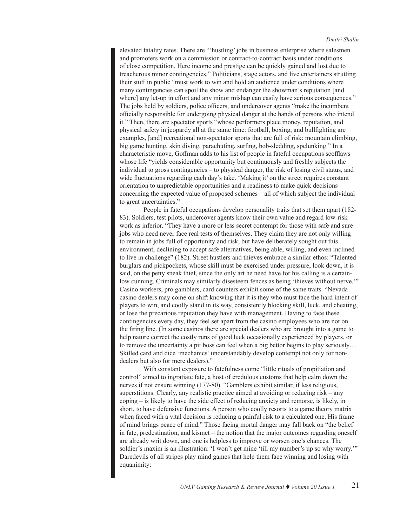elevated fatality rates. There are "'hustling' jobs in business enterprise where salesmen and promoters work on a commission or contract-to-contract basis under conditions of close competition. Here income and prestige can be quickly gained and lost due to treacherous minor contingencies." Politicians, stage actors, and live entertainers strutting their stuff in public "must work to win and hold an audience under conditions where many contingencies can spoil the show and endanger the showman's reputation [and where] any let-up in effort and any minor mishap can easily have serious consequences." The jobs held by soldiers, police officers, and undercover agents "make the incumbent officially responsible for undergoing physical danger at the hands of persons who intend it." Then, there are spectator sports "whose performers place money, reputation, and physical safety in jeopardy all at the same time: football, boxing, and bullfighting are examples, [and] recreational non-spectator sports that are full of risk: mountain climbing, big game hunting, skin diving, parachuting, surfing, bob-sledding, spelunking." In a characteristic move, Goffman adds to his list of people in fateful occupations scofflaws whose life "yields considerable opportunity but continuously and freshly subjects the individual to gross contingencies – to physical danger, the risk of losing civil status, and wide fluctuations regarding each day's take. 'Making it' on the street requires constant orientation to unpredictable opportunities and a readiness to make quick decisions concerning the expected value of proposed schemes – all of which subject the individual to great uncertainties."

People in fateful occupations develop personality traits that set them apart (182- 83). Soldiers, test pilots, undercover agents know their own value and regard low-risk work as inferior. "They have a more or less secret contempt for those with safe and sure jobs who need never face real tests of themselves. They claim they are not only willing to remain in jobs full of opportunity and risk, but have deliberately sought out this environment, declining to accept safe alternatives, being able, willing, and even inclined to live in challenge" (182). Street hustlers and thieves embrace a similar ethos: "Talented burglars and pickpockets, whose skill must be exercised under pressure, look down, it is said, on the petty sneak thief, since the only art he need have for his calling is a certainlow cunning. Criminals may similarly disesteem fences as being 'thieves without nerve.'" Casino workers, pro gamblers, card counters exhibit some of the same traits. "Nevada casino dealers may come on shift knowing that it is they who must face the hard intent of players to win, and coolly stand in its way, consistently blocking skill, luck, and cheating, or lose the precarious reputation they have with management. Having to face these contingencies every day, they feel set apart from the casino employees who are not on the firing line. (In some casinos there are special dealers who are brought into a game to help nature correct the costly runs of good luck occasionally experienced by players, or to remove the uncertainty a pit boss can feel when a big bettor begins to play seriously… Skilled card and dice 'mechanics' understandably develop contempt not only for nondealers but also for mere dealers)."

With constant exposure to fatefulness come "little rituals of propitiation and control" aimed to ingratiate fate, a host of credulous customs that help calm down the nerves if not ensure winning (177-80). "Gamblers exhibit similar, if less religious, superstitions. Clearly, any realistic practice aimed at avoiding or reducing risk – any coping – is likely to have the side effect of reducing anxiety and remorse, is likely, in short, to have defensive functions. A person who coolly resorts to a game theory matrix when faced with a vital decision is reducing a painful risk to a calculated one. His frame of mind brings peace of mind." Those facing mortal danger may fall back on "the belief in fate, predestination, and kismet – the notion that the major outcomes regarding oneself are already writ down, and one is helpless to improve or worsen one's chances. The soldier's maxim is an illustration: 'I won't get mine 'till my number's up so why worry.'" Daredevils of all stripes play mind games that help them face winning and losing with equanimity: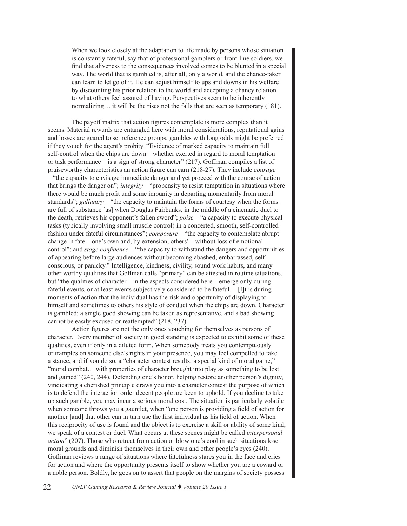When we look closely at the adaptation to life made by persons whose situation is constantly fateful, say that of professional gamblers or front-line soldiers, we find that aliveness to the consequences involved comes to be blunted in a special way. The world that is gambled is, after all, only a world, and the chance-taker can learn to let go of it. He can adjust himself to ups and downs in his welfare by discounting his prior relation to the world and accepting a chancy relation to what others feel assured of having. Perspectives seem to be inherently normalizing… it will be the rises not the falls that are seen as temporary (181).

The payoff matrix that action figures contemplate is more complex than it seems. Material rewards are entangled here with moral considerations, reputational gains and losses are geared to set reference groups, gambles with long odds might be preferred if they vouch for the agent's probity. "Evidence of marked capacity to maintain full self-control when the chips are down – whether exerted in regard to moral temptation or task performance – is a sign of strong character" (217). Goffman compiles a list of praiseworthy characteristics an action figure can earn (218-27). They include *courage* – "the capacity to envisage immediate danger and yet proceed with the course of action that brings the danger on"; *integrity* – "propensity to resist temptation in situations where there would be much profit and some impunity in departing momentarily from moral standards";  $\text{gallantry} - \text{``the capacity}$  to maintain the forms of courtesy when the forms are full of substance [as] when Douglas Fairbanks, in the middle of a cinematic duel to the death, retrieves his opponent's fallen sword"; *poise* – "a capacity to execute physical tasks (typically involving small muscle control) in a concerted, smooth, self-controlled fashion under fateful circumstances"; *composure* – "the capacity to contemplate abrupt change in fate – one's own and, by extension, others' – without loss of emotional control"; and *stage confidence* – "the capacity to withstand the dangers and opportunities of appearing before large audiences without becoming abashed, embarrassed, selfconscious, or panicky." Intelligence, kindness, civility, sound work habits, and many other worthy qualities that Goffman calls "primary" can be attested in routine situations, but "the qualities of character – in the aspects considered here – emerge only during fateful events, or at least events subjectively considered to be fateful… [I]t is during moments of action that the individual has the risk and opportunity of displaying to himself and sometimes to others his style of conduct when the chips are down. Character is gambled; a single good showing can be taken as representative, and a bad showing cannot be easily excused or reattempted" (218, 237).

Action figures are not the only ones vouching for themselves as persons of character. Every member of society in good standing is expected to exhibit some of these qualities, even if only in a diluted form. When somebody treats you contemptuously or tramples on someone else's rights in your presence, you may feel compelled to take a stance, and if you do so, a "character contest results; a special kind of moral game," "moral combat... with properties of character brought into play as something to be lost and gained" (240, 244). Defending one's honor, helping restore another person's dignity, vindicating a cherished principle draws you into a character contest the purpose of which is to defend the interaction order decent people are keen to uphold. If you decline to take up such gamble, you may incur a serious moral cost. The situation is particularly volatile when someone throws you a gauntlet, when "one person is providing a field of action for another [and] that other can in turn use the first individual as his field of action. When this reciprocity of use is found and the object is to exercise a skill or ability of some kind, we speak of a contest or duel. What occurs at these scenes might be called *interpersonal action*" (207). Those who retreat from action or blow one's cool in such situations lose moral grounds and diminish themselves in their own and other people's eyes (240). Goffman reviews a range of situations where fatefulness stares you in the face and cries for action and where the opportunity presents itself to show whether you are a coward or a noble person. Boldly, he goes on to assert that people on the margins of society possess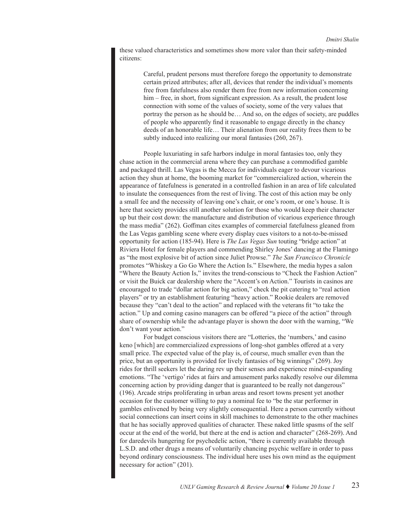these valued characteristics and sometimes show more valor than their safety-minded citizens:

> Careful, prudent persons must therefore forego the opportunity to demonstrate certain prized attributes; after all, devices that render the individual's moments free from fatefulness also render them free from new information concerning him – free, in short, from significant expression. As a result, the prudent lose connection with some of the values of society, some of the very values that portray the person as he should be… And so, on the edges of society, are puddles of people who apparently find it reasonable to engage directly in the chancy deeds of an honorable life… Their alienation from our reality frees them to be subtly induced into realizing our moral fantasies (260, 267).

People luxuriating in safe harbors indulge in moral fantasies too, only they chase action in the commercial arena where they can purchase a commodified gamble and packaged thrill. Las Vegas is the Mecca for individuals eager to devour vicarious action they shun at home, the booming market for "commercialized action, wherein the appearance of fatefulness is generated in a controlled fashion in an area of life calculated to insulate the consequences from the rest of living. The cost of this action may be only a small fee and the necessity of leaving one's chair, or one's room, or one's house. It is here that society provides still another solution for those who would keep their character up but their cost down: the manufacture and distribution of vicarious experience through the mass media" (262). Goffman cites examples of commercial fatefulness gleaned from the Las Vegas gambling scene where every display cues visitors to a not-to-be-missed opportunity for action (185-94). Here is *The Las Vegas Sun* touting "bridge action" at Riviera Hotel for female players and commending Shirley Jones' dancing at the Flamingo as "the most explosive bit of action since Juliet Prowse." *The San Francisco Chronicle* promotes "Whiskey a Go Go Where the Action Is." Elsewhere, the media hypes a salon "Where the Beauty Action Is," invites the trend-conscious to "Check the Fashion Action" or visit the Buick car dealership where the "Accent's on Action." Tourists in casinos are encouraged to trade "dollar action for big action," check the pit catering to "real action players" or try an establishment featuring "heavy action." Rookie dealers are removed because they "can't deal to the action" and replaced with the veterans fit "to take the action." Up and coming casino managers can be offered "a piece of the action" through share of ownership while the advantage player is shown the door with the warning, "We don't want your action."

For budget conscious visitors there are "Lotteries, the 'numbers,' and casino keno [which] are commercialized expressions of long-shot gambles offered at a very small price. The expected value of the play is, of course, much smaller even than the price, but an opportunity is provided for lively fantasies of big winnings" (269). Joy rides for thrill seekers let the daring rev up their senses and experience mind-expanding emotions. "The 'vertigo' rides at fairs and amusement parks nakedly resolve our dilemma concerning action by providing danger that is guaranteed to be really not dangerous" (196). Arcade strips proliferating in urban areas and resort towns present yet another occasion for the customer willing to pay a nominal fee to "be the star performer in gambles enlivened by being very slightly consequential. Here a person currently without social connections can insert coins in skill machines to demonstrate to the other machines that he has socially approved qualities of character. These naked little spasms of the self occur at the end of the world, but there at the end is action and character" (268-269). And for daredevils hungering for psychedelic action, "there is currently available through L.S.D. and other drugs a means of voluntarily chancing psychic welfare in order to pass beyond ordinary consciousness. The individual here uses his own mind as the equipment necessary for action" (201).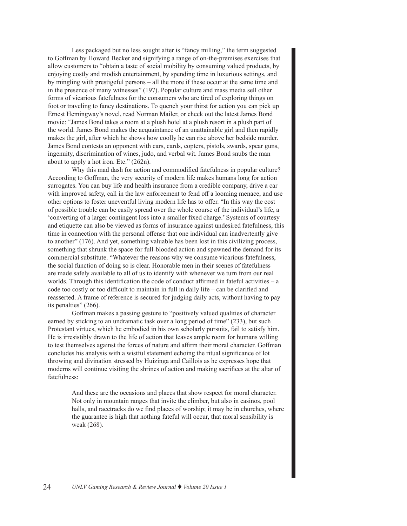Less packaged but no less sought after is "fancy milling," the term suggested to Goffman by Howard Becker and signifying a range of on-the-premises exercises that allow customers to "obtain a taste of social mobility by consuming valued products, by enjoying costly and modish entertainment, by spending time in luxurious settings, and by mingling with prestigeful persons – all the more if these occur at the same time and in the presence of many witnesses" (197). Popular culture and mass media sell other forms of vicarious fatefulness for the consumers who are tired of exploring things on foot or traveling to fancy destinations. To quench your thirst for action you can pick up Ernest Hemingway's novel, read Norman Mailer, or check out the latest James Bond movie: "James Bond takes a room at a plush hotel at a plush resort in a plush part of the world. James Bond makes the acquaintance of an unattainable girl and then rapidly makes the girl, after which he shows how coolly he can rise above her bedside murder. James Bond contests an opponent with cars, cards, copters, pistols, swards, spear guns, ingenuity, discrimination of wines, judo, and verbal wit. James Bond snubs the man about to apply a hot iron. Etc." (262n).

Why this mad dash for action and commodified fatefulness in popular culture? According to Goffman, the very security of modern life makes humans long for action surrogates. You can buy life and health insurance from a credible company, drive a car with improved safety, call in the law enforcement to fend off a looming menace, and use other options to foster uneventful living modern life has to offer. "In this way the cost of possible trouble can be easily spread over the whole course of the individual's life, a 'converting of a larger contingent loss into a smaller fixed charge.' Systems of courtesy and etiquette can also be viewed as forms of insurance against undesired fatefulness, this time in connection with the personal offense that one individual can inadvertently give to another" (176). And yet, something valuable has been lost in this civilizing process, something that shrunk the space for full-blooded action and spawned the demand for its commercial substitute. "Whatever the reasons why we consume vicarious fatefulness, the social function of doing so is clear. Honorable men in their scenes of fatefulness are made safely available to all of us to identify with whenever we turn from our real worlds. Through this identification the code of conduct affirmed in fateful activities – a code too costly or too difficult to maintain in full in daily life – can be clarified and reasserted. A frame of reference is secured for judging daily acts, without having to pay its penalties" (266).

Goffman makes a passing gesture to "positively valued qualities of character earned by sticking to an undramatic task over a long period of time" (233), but such Protestant virtues, which he embodied in his own scholarly pursuits, fail to satisfy him. He is irresistibly drawn to the life of action that leaves ample room for humans willing to test themselves against the forces of nature and affirm their moral character. Goffman concludes his analysis with a wistful statement echoing the ritual significance of lot throwing and divination stressed by Huizinga and Caillois as he expresses hope that moderns will continue visiting the shrines of action and making sacrifices at the altar of fatefulness:

> And these are the occasions and places that show respect for moral character. Not only in mountain ranges that invite the climber, but also in casinos, pool halls, and racetracks do we find places of worship; it may be in churches, where the guarantee is high that nothing fateful will occur, that moral sensibility is weak (268).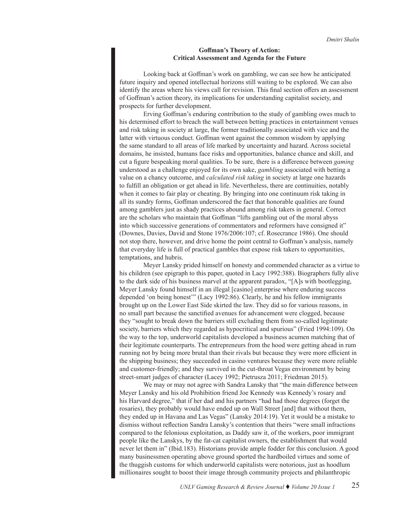# **Goffman's Theory of Action: Critical Assessment and Agenda for the Future**

Looking back at Goffman's work on gambling, we can see how he anticipated future inquiry and opened intellectual horizons still waiting to be explored. We can also identify the areas where his views call for revision. This final section offers an assessment of Goffman's action theory, its implications for understanding capitalist society, and prospects for further development.

Erving Goffman's enduring contribution to the study of gambling owes much to his determined effort to breach the wall between betting practices in entertainment venues and risk taking in society at large, the former traditionally associated with vice and the latter with virtuous conduct. Goffman went against the common wisdom by applying the same standard to all areas of life marked by uncertainty and hazard. Across societal domains, he insisted, humans face risks and opportunities, balance chance and skill, and cut a figure bespeaking moral qualities. To be sure, there is a difference between *gaming* understood as a challenge enjoyed for its own sake, *gambling* associated with betting a value on a chancy outcome, and *calculated risk taking* in society at large one hazards to fulfill an obligation or get ahead in life. Nevertheless, there are continuities, notably when it comes to fair play or cheating. By bringing into one continuum risk taking in all its sundry forms, Goffman underscored the fact that honorable qualities are found among gamblers just as shady practices abound among risk takers in general. Correct are the scholars who maintain that Goffman "lifts gambling out of the moral abyss into which successive generations of commentators and reformers have consigned it" (Downes, Davies, David and Stone 1976/2006:107; cf. Rosecrance 1986). One should not stop there, however, and drive home the point central to Goffman's analysis, namely that everyday life is full of practical gambles that expose risk takers to opportunities, temptations, and hubris.

Meyer Lansky prided himself on honesty and commended character as a virtue to his children (see epigraph to this paper, quoted in Lacy 1992:388). Biographers fully alive to the dark side of his business marvel at the apparent paradox, "[A]s with bootlegging, Meyer Lansky found himself in an illegal [casino] enterprise where enduring success depended 'on being honest'" (Lacy 1992:86). Clearly, he and his fellow immigrants brought up on the Lower East Side skirted the law. They did so for various reasons, in no small part because the sanctified avenues for advancement were clogged, because they "sought to break down the barriers still excluding them from so-called legitimate society, barriers which they regarded as hypocritical and spurious" (Fried 1994:109). On the way to the top, underworld capitalists developed a business acumen matching that of their legitimate counterparts. The entrepreneurs from the hood were getting ahead in rum running not by being more brutal than their rivals but because they were more efficient in the shipping business; they succeeded in casino ventures because they were more reliable and customer-friendly; and they survived in the cut-throat Vegas environment by being street-smart judges of character (Lacey 1992; Pietrusza 2011; Friedman 2015).

We may or may not agree with Sandra Lansky that "the main difference between Meyer Lansky and his old Prohibition friend Joe Kennedy was Kennedy's rosary and his Harvard degree," that if her dad and his partners "had had those degrees (forget the rosaries), they probably would have ended up on Wall Street [and] that without them, they ended up in Havana and Las Vegas" (Lansky 2014:19). Yet it would be a mistake to dismiss without reflection Sandra Lansky's contention that theirs "were small infractions compared to the felonious exploitation, as Daddy saw it, of the workers, poor immigrant people like the Lanskys, by the fat-cat capitalist owners, the establishment that would never let them in" (Ibid.183). Historians provide ample fodder for this conclusion. A good many businessmen operating above ground sported the hardboiled virtues and some of the thuggish customs for which underworld capitalists were notorious, just as hoodlum millionaires sought to boost their image through community projects and philanthropic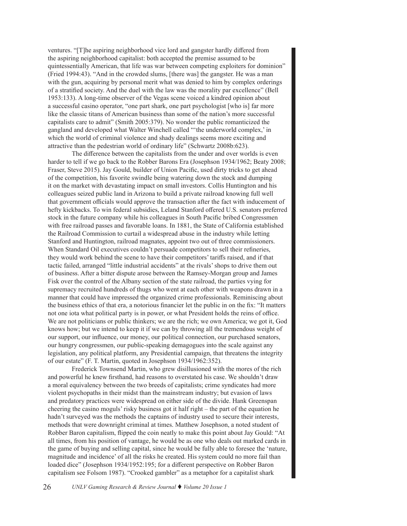ventures. "[T]he aspiring neighborhood vice lord and gangster hardly differed from the aspiring neighborhood capitalist: both accepted the premise assumed to be quintessentially American, that life was war between competing exploiters for dominion" (Fried 1994:43). "And in the crowded slums, [there was] the gangster. He was a man with the gun, acquiring by personal merit what was denied to him by complex orderings of a stratified society. And the duel with the law was the morality par excellence" (Bell 1953:133). A long-time observer of the Vegas scene voiced a kindred opinion about a successful casino operator, "one part shark, one part psychologist [who is] far more like the classic titans of American business than some of the nation's more successful capitalists care to admit" (Smith 2005:379). No wonder the public romanticized the gangland and developed what Walter Winchell called "'the underworld complex,' in which the world of criminal violence and shady dealings seems more exciting and attractive than the pedestrian world of ordinary life" (Schwartz 2008b:623).

The difference between the capitalists from the under and over worlds is even harder to tell if we go back to the Robber Barons Era (Josephson 1934/1962; Beaty 2008; Fraser, Steve 2015). Jay Gould, builder of Union Pacific, used dirty tricks to get ahead of the competition, his favorite swindle being watering down the stock and dumping it on the market with devastating impact on small investors. Collis Huntington and his colleagues seized public land in Arizona to build a private railroad knowing full well that government officials would approve the transaction after the fact with inducement of hefty kickbacks. To win federal subsidies, Leland Stanford offered U.S. senators preferred stock in the future company while his colleagues in South Pacific bribed Congressmen with free railroad passes and favorable loans. In 1881, the State of California established the Railroad Commission to curtail a widespread abuse in the industry while letting Stanford and Huntington, railroad magnates, appoint two out of three commissioners. When Standard Oil executives couldn't persuade competitors to sell their refineries, they would work behind the scene to have their competitors' tariffs raised, and if that tactic failed, arranged "little industrial accidents" at the rivals' shops to drive them out of business. After a bitter dispute arose between the Ramsey-Morgan group and James Fisk over the control of the Albany section of the state railroad, the parties vying for supremacy recruited hundreds of thugs who went at each other with weapons drawn in a manner that could have impressed the organized crime professionals. Reminiscing about the business ethics of that era, a notorious financier let the public in on the fix: "It matters not one iota what political party is in power, or what President holds the reins of office. We are not politicians or public thinkers; we are the rich; we own America; we got it, God knows how; but we intend to keep it if we can by throwing all the tremendous weight of our support, our influence, our money, our political connection, our purchased senators, our hungry congressmen, our public-speaking demagogues into the scale against any legislation, any political platform, any Presidential campaign, that threatens the integrity of our estate" (F. T. Martin, quoted in Josephson 1934/1962:352).

Frederick Townsend Martin, who grew disillusioned with the mores of the rich and powerful he knew firsthand, had reasons to overstated his case. We shouldn't draw a moral equivalency between the two breeds of capitalists; crime syndicates had more violent psychopaths in their midst than the mainstream industry; but evasion of laws and predatory practices were widespread on either side of the divide. Hank Greenspan cheering the casino moguls' risky business got it half right – the part of the equation he hadn't surveyed was the methods the captains of industry used to secure their interests, methods that were downright criminal at times. Matthew Josephson, a noted student of Robber Baron capitalism, flipped the coin neatly to make this point about Jay Gould: "At all times, from his position of vantage, he would be as one who deals out marked cards in the game of buying and selling capital, since he would be fully able to foresee the 'nature, magnitude and incidence' of all the risks he created. His system could no more fail than loaded dice" (Josephson 1934/1952:195; for a different perspective on Robber Baron capitalism see Folsom 1987). "Crooked gambler" as a metaphor for a capitalist shark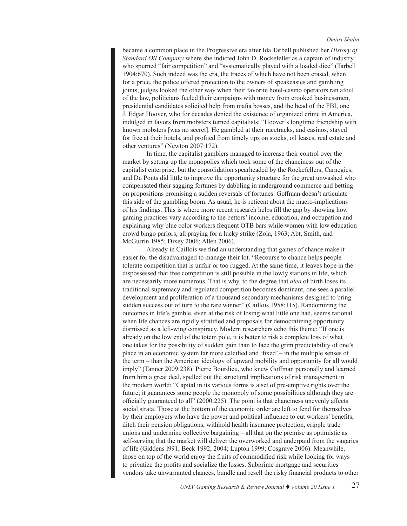became a common place in the Progressive era after Ida Tarbell published her *History of Standard Oil Company* where she indicted John D. Rockefeller as a captain of industry who spurned "fair competition" and "systematically played with a loaded dice" (Tarbell 1904:670). Such indeed was the era, the traces of which have not been erased, when for a price, the police offered protection to the owners of speakeasies and gambling joints, judges looked the other way when their favorite hotel-casino operators ran afoul of the law, politicians fueled their campaigns with money from crooked businessmen, presidential candidates solicited help from mafia bosses, and the head of the FBI, one J. Edgar Hoover, who for decades denied the existence of organized crime in America, indulged in favors from mobsters turned capitalists: "Hoover's longtime friendship with known mobsters [was no secret]. He gambled at their racetracks, and casinos, stayed for free at their hotels, and profited from timely tips on stocks, oil leases, real estate and other ventures" (Newton 2007:172).

In time, the capitalist gamblers managed to increase their control over the market by setting up the monopolies which took some of the chanciness out of the capitalist enterprise, but the consolidation spearheaded by the Rockefellers, Carnegies, and Du Ponts did little to improve the opportunity structure for the great unwashed who compensated their sagging fortunes by dabbling in underground commerce and betting on propositions promising a sudden reversals of fortunes. Goffman doesn't articulate this side of the gambling boom. As usual, he is reticent about the macro-implications of his findings. This is where more recent research helps fill the gap by showing how gaming practices vary according to the bettors' income, education, and occupation and explaining why blue color workers frequent OTB bars while women with low education crowd bingo parlors, all praying for a lucky strike (Zola, 1963; Abt, Smith, and McGurrin 1985; Dixey 2006; Allen 2006).

Already in Caillois we find an understanding that games of chance make it easier for the disadvantaged to manage their lot. "Recourse to chance helps people tolerate competition that is unfair or too rugged. At the same time, it leaves hope in the dispossessed that free competition is still possible in the lowly stations in life, which are necessarily more numerous. That is why, to the degree that *alea* of birth loses its traditional supremacy and regulated competition becomes dominant, one sees a parallel development and proliferation of a thousand secondary mechanisms designed to bring sudden success out of turn to the rare winner" (Caillois 1958:115). Randomizing the outcomes in life's gamble, even at the risk of losing what little one had, seems rational when life chances are rigidly stratified and proposals for democratizing opportunity dismissed as a left-wing conspiracy. Modern researchers echo this theme: "If one is already on the low end of the totem pole, it is better to risk a complete loss of what one takes for the possibility of sudden gain than to face the grim predictability of one's place in an economic system far more calcified and 'fixed' – in the multiple senses of the term – than the American ideology of upward mobility and opportunity for all would imply" (Tanner 2009:238). Pierre Bourdieu, who knew Goffman personally and learned from him a great deal, spelled out the structural implications of risk management in the modern world: "Capital in its various forms is a set of pre-emptive rights over the future; it guarantees some people the monopoly of some possibilities although they are officially guaranteed to all" (2000:225). The point is that chanciness unevenly affects social strata. Those at the bottom of the economic order are left to fend for themselves by their employers who have the power and political influence to cut workers' benefits, ditch their pension obligations, withhold health insurance protection, cripple trade unions and undermine collective bargaining – all that on the premise as optimistic as self-serving that the market will deliver the overworked and underpaid from the vagaries of life (Giddens l991; Beck 1992, 2004; Lupton 1999; Cosgrave 2006). Meanwhile, those on top of the world enjoy the fruits of commodified risk while looking for ways to privatize the profits and socialize the losses. Subprime mortgage and securities vendors take unwarranted chances, bundle and resell the risky financial products to other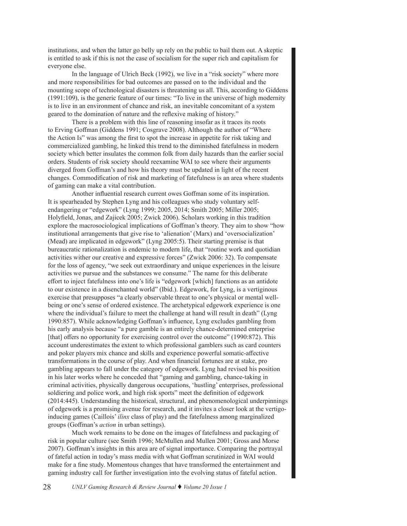institutions, and when the latter go belly up rely on the public to bail them out. A skeptic is entitled to ask if this is not the case of socialism for the super rich and capitalism for everyone else.

In the language of Ulrich Beck (1992), we live in a "risk society" where more and more responsibilities for bad outcomes are passed on to the individual and the mounting scope of technological disasters is threatening us all. This, according to Giddens (1991:109), is the generic feature of our times: "To live in the universe of high modernity is to live in an environment of chance and risk, an inevitable concomitant of a system geared to the domination of nature and the reflexive making of history."

There is a problem with this line of reasoning insofar as it traces its roots to Erving Goffman (Giddens 1991; Cosgrave 2008). Although the author of "Where the Action Is" was among the first to spot the increase in appetite for risk taking and commercialized gambling, he linked this trend to the diminished fatefulness in modern society which better insulates the common folk from daily hazards than the earlier social orders. Students of risk society should reexamine WAI to see where their arguments diverged from Goffman's and how his theory must be updated in light of the recent changes. Commodification of risk and marketing of fatefulness is an area where students of gaming can make a vital contribution.

Another influential research current owes Goffman some of its inspiration. It is spearheaded by Stephen Lyng and his colleagues who study voluntary selfendangering or "edgework" (Lyng 1999; 2005, 2014; Smith 2005; Miller 2005; Holyfield, Jonas, and Zajicek 2005; Zwick 2006). Scholars working in this tradition explore the macrosociological implications of Goffman's theory. They aim to show "how institutional arrangements that give rise to 'alienation' (Marx) and 'oversocialization' (Mead) are implicated in edgework" (Lyng 2005:5). Their starting premise is that bureaucratic rationalization is endemic to modern life, that "routine work and quotidian activities wither our creative and expressive forces" (Zwick 2006: 32). To compensate for the loss of agency, "we seek out extraordinary and unique experiences in the leisure activities we pursue and the substances we consume." The name for this deliberate effort to inject fatefulness into one's life is "edgework [which] functions as an antidote to our existence in a disenchanted world" (Ibid.). Edgework, for Lyng, is a vertiginous exercise that presupposes "a clearly observable threat to one's physical or mental wellbeing or one's sense of ordered existence. The archetypical edgework experience is one where the individual's failure to meet the challenge at hand will result in death" (Lyng 1990:857). While acknowledging Goffman's influence, Lyng excludes gambling from his early analysis because "a pure gamble is an entirely chance-determined enterprise [that] offers no opportunity for exercising control over the outcome" (1990:872). This account underestimates the extent to which professional gamblers such as card counters and poker players mix chance and skills and experience powerful somatic-affective transformations in the course of play. And when financial fortunes are at stake, pro gambling appears to fall under the category of edgework. Lyng had revised his position in his later works where he conceded that "gaming and gambling, chance-taking in criminal activities, physically dangerous occupations, 'hustling' enterprises, professional soldiering and police work, and high risk sports" meet the definition of edgework (2014:445). Understanding the historical, structural, and phenomenological underpinnings of edgework is a promising avenue for research, and it invites a closer look at the vertigoinducing games (Caillois' *ilinx* class of play) and the fatefulness among marginalized groups (Goffman's *action* in urban settings).

Much work remains to be done on the images of fatefulness and packaging of risk in popular culture (see Smith 1996; McMullen and Mullen 2001; Gross and Morse 2007). Goffman's insights in this area are of signal importance. Comparing the portrayal of fateful action in today's mass media with what Goffman scrutinized in WAI would make for a fine study. Momentous changes that have transformed the entertainment and gaming industry call for further investigation into the evolving status of fateful action.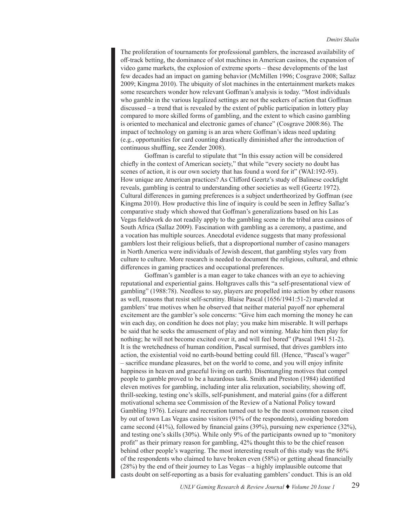The proliferation of tournaments for professional gamblers, the increased availability of off-track betting, the dominance of slot machines in American casinos, the expansion of video game markets, the explosion of extreme sports – these developments of the last few decades had an impact on gaming behavior (McMillen 1996; Cosgrave 2008; Sallaz 2009; Kingma 2010). The ubiquity of slot machines in the entertainment markets makes some researchers wonder how relevant Goffman's analysis is today. "Most individuals who gamble in the various legalized settings are not the seekers of action that Goffman discussed – a trend that is revealed by the extent of public participation in lottery play compared to more skilled forms of gambling, and the extent to which casino gambling is oriented to mechanical and electronic games of chance" (Cosgrave 2008:86). The impact of technology on gaming is an area where Goffman's ideas need updating (e.g., opportunities for card counting drastically diminished after the introduction of continuous shuffling, see Zender 2008).

Goffman is careful to stipulate that "In this essay action will be considered chiefly in the context of American society," that while "every society no doubt has scenes of action, it is our own society that has found a word for it" (WAI:192-93). How unique are American practices? As Clifford Geertz's study of Balinese cockfight reveals, gambling is central to understanding other societies as well (Geertz 1972). Cultural differences in gaming preferences is a subject undertheorized by Goffman (see Kingma 2010). How productive this line of inquiry is could be seen in Jeffrey Sallaz's comparative study which showed that Goffman's generalizations based on his Las Vegas fieldwork do not readily apply to the gambling scene in the tribal area casinos of South Africa (Sallaz 2009). Fascination with gambling as a ceremony, a pastime, and a vocation has multiple sources. Anecdotal evidence suggests that many professional gamblers lost their religious beliefs, that a disproportional number of casino managers in North America were individuals of Jewish descent, that gambling styles vary from culture to culture. More research is needed to document the religious, cultural, and ethnic differences in gaming practices and occupational preferences.

Goffman's gambler is a man eager to take chances with an eye to achieving reputational and experiential gains. Holtgraves calls this "a self-presentational view of gambling" (1988:78). Needless to say, players are propelled into action by other reasons as well, reasons that resist self-scrutiny. Blaise Pascal (1656/1941:51-2) marveled at gamblers' true motives when he observed that neither material payoff nor ephemeral excitement are the gambler's sole concerns: "Give him each morning the money he can win each day, on condition he does not play; you make him miserable. It will perhaps be said that he seeks the amusement of play and not winning. Make him then play for nothing; he will not become excited over it, and will feel bored" (Pascal 1941 51-2). It is the wretchedness of human condition, Pascal surmised, that drives gamblers into action, the existential void no earth-bound betting could fill. (Hence, "Pascal's wager" – sacrifice mundane pleasures, bet on the world to come, and you will enjoy infinite happiness in heaven and graceful living on earth). Disentangling motives that compel people to gamble proved to be a hazardous task. Smith and Preston (1984) identified eleven motives for gambling, including inter alia relaxation, sociability, showing off, thrill-seeking, testing one's skills, self-punishment, and material gains (for a different motivational schema see Commission of the Review of a National Policy toward Gambling 1976). Leisure and recreation turned out to be the most common reason cited by out of town Las Vegas casino visitors (91% of the respondents), avoiding boredom came second (41%), followed by financial gains (39%), pursuing new experience (32%), and testing one's skills (30%). While only 9% of the participants owned up to "monitory profit" as their primary reason for gambling, 42% thought this to be the chief reason behind other people's wagering. The most interesting result of this study was the 86% of the respondents who claimed to have broken even (58%) or getting ahead financially (28%) by the end of their journey to Las Vegas – a highly implausible outcome that casts doubt on self-reporting as a basis for evaluating gamblers' conduct. This is an old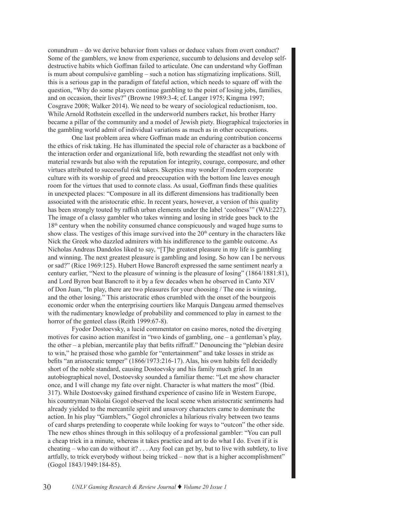conundrum – do we derive behavior from values or deduce values from overt conduct? Some of the gamblers, we know from experience, succumb to delusions and develop selfdestructive habits which Goffman failed to articulate. One can understand why Goffman is mum about compulsive gambling – such a notion has stigmatizing implications. Still, this is a serious gap in the paradigm of fateful action, which needs to square off with the question, "Why do some players continue gambling to the point of losing jobs, families, and on occasion, their lives?" (Browne 1989:3-4; cf. Langer 1975; Kingma 1997; Cosgrave 2008; Walker 2014). We need to be weary of sociological reductionism, too. While Arnold Rothstein excelled in the underworld numbers racket, his brother Harry became a pillar of the community and a model of Jewish piety. Biographical trajectories in the gambling world admit of individual variations as much as in other occupations.

One last problem area where Goffman made an enduring contribution concerns the ethics of risk taking. He has illuminated the special role of character as a backbone of the interaction order and organizational life, both rewarding the steadfast not only with material rewards but also with the reputation for integrity, courage, composure, and other virtues attributed to successful risk takers. Skeptics may wonder if modern corporate culture with its worship of greed and preoccupation with the bottom line leaves enough room for the virtues that used to connote class. As usual, Goffman finds these qualities in unexpected places: "Composure in all its different dimensions has traditionally been associated with the aristocratic ethic. In recent years, however, a version of this quality has been strongly touted by raffish urban elements under the label 'coolness'" (WAI:227). The image of a classy gambler who takes winning and losing in stride goes back to the 18th century when the nobility consumed chance conspicuously and waged huge sums to show class. The vestiges of this image survived into the  $20<sup>th</sup>$  century in the characters like Nick the Greek who dazzled admirers with his indifference to the gamble outcome. As Nicholas Andreas Dandolos liked to say, "[T]he greatest pleasure in my life is gambling and winning. The next greatest pleasure is gambling and losing. So how can I be nervous or sad?" (Rice 1969:125). Hubert Howe Bancroft expressed the same sentiment nearly a century earlier, "Next to the pleasure of winning is the pleasure of losing" (1864/1881:81), and Lord Byron beat Bancroft to it by a few decades when he observed in Canto XIV of Don Juan, "In play, there are two pleasures for your choosing / The one is winning, and the other losing." This aristocratic ethos crumbled with the onset of the bourgeois economic order when the enterprising courtiers like Marquis Dangeau armed themselves with the rudimentary knowledge of probability and commenced to play in earnest to the horror of the genteel class (Reith 1999:67-8).

Fyodor Dostoevsky, a lucid commentator on casino mores, noted the diverging motives for casino action manifest in "two kinds of gambling, one – a gentleman's play, the other – a plebian, mercantile play that befits riffraff." Denouncing the "plebian desire to win," he praised those who gamble for "entertainment" and take losses in stride as befits "an aristocratic temper" (1866/1973:216-17). Alas, his own habits fell decidedly short of the noble standard, causing Dostoevsky and his family much grief. In an autobiographical novel, Dostoevsky sounded a familiar theme: "Let me show character once, and I will change my fate over night. Character is what matters the most" (Ibid. 317). While Dostoevsky gained firsthand experience of casino life in Western Europe, his countryman Nikolai Gogol observed the local scene when aristocratic sentiments had already yielded to the mercantile spirit and unsavory characters came to dominate the action. In his play "Gamblers," Gogol chronicles a hilarious rivalry between two teams of card sharps pretending to cooperate while looking for ways to "outcon" the other side. The new ethos shines through in this soliloquy of a professional gambler: "You can pull a cheap trick in a minute, whereas it takes practice and art to do what I do. Even if it is cheating – who can do without it? . . . Any fool can get by, but to live with subtlety, to live artfully, to trick everybody without being tricked – now that is a higher accomplishment" (Gogol 1843/1949:184-85).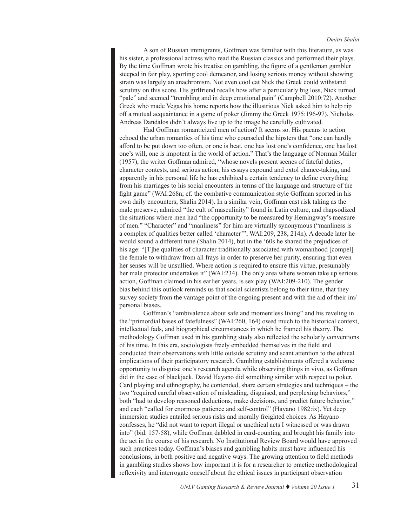A son of Russian immigrants, Goffman was familiar with this literature, as was his sister, a professional actress who read the Russian classics and performed their plays. By the time Goffman wrote his treatise on gambling, the figure of a gentleman gambler steeped in fair play, sporting cool demeanor, and losing serious money without showing strain was largely an anachronism. Not even cool cat Nick the Greek could withstand scrutiny on this score. His girlfriend recalls how after a particularly big loss, Nick turned "pale" and seemed "trembling and in deep emotional pain" (Campbell 2010:72). Another Greek who made Vegas his home reports how the illustrious Nick asked him to help rip off a mutual acquaintance in a game of poker (Jimmy the Greek 1975:196-97). Nicholas Andreas Dandalos didn't always live up to the image he carefully cultivated.

Had Goffman romanticized men of action? It seems so. His paeans to action echoed the urban romantics of his time who counseled the hipsters that "one can hardly afford to be put down too often, or one is beat, one has lost one's confidence, one has lost one's will, one is impotent in the world of action." That's the language of Norman Mailer (1957), the writer Goffman admired, "whose novels present scenes of fateful duties, character contests, and serious action; his essays expound and extol chance-taking, and apparently in his personal life he has exhibited a certain tendency to define everything from his marriages to his social encounters in terms of the language and structure of the fight game" (WAI:268n; cf. the combative communication style Goffman sported in his own daily encounters, Shalin 2014). In a similar vein, Goffman cast risk taking as the male preserve, admired "the cult of masculinity" found in Latin culture, and rhapsodized the situations where men had "the opportunity to be measured by Hemingway's measure of men." "Character" and "manliness" for him are virtually synonymous ("manliness is a complex of qualities better called 'character'", WAI:209, 238, 214n). A decade later he would sound a different tune (Shalin 2014), but in the '60s he shared the prejudices of his age: "[T]he qualities of character traditionally associated with womanhood [compel] the female to withdraw from all frays in order to preserve her purity, ensuring that even her senses will be unsullied. Where action is required to ensure this virtue, presumably her male protector undertakes it" (WAI:234). The only area where women take up serious action, Goffman claimed in his earlier years, is sex play (WAI:209-210). The gender bias behind this outlook reminds us that social scientists belong to their time, that they survey society from the vantage point of the ongoing present and with the aid of their im/ personal biases.

Goffman's "ambivalence about safe and momentless living" and his reveling in the "primordial bases of fatefulness" (WAI:260, 164) owed much to the historical context, intellectual fads, and biographical circumstances in which he framed his theory. The methodology Goffman used in his gambling study also reflected the scholarly conventions of his time. In this era, sociologists freely embedded themselves in the field and conducted their observations with little outside scrutiny and scant attention to the ethical implications of their participatory research. Gambling establishments offered a welcome opportunity to disguise one's research agenda while observing things in vivo, as Goffman did in the case of blackjack. David Hayano did something similar with respect to poker. Card playing and ethnography, he contended, share certain strategies and techniques – the two "required careful observation of misleading, disguised, and perplexing behaviors," both "had to develop reasoned deductions, make decisions, and predict future behavior," and each "called for enormous patience and self-control" (Hayano 1982:ix). Yet deep immersion studies entailed serious risks and morally freighted choices. As Hayano confesses, he "did not want to report illegal or unethical acts I witnessed or was drawn into" (bid. 157-58), while Goffman dabbled in card-counting and brought his family into the act in the course of his research. No Institutional Review Board would have approved such practices today. Goffman's biases and gambling habits must have influenced his conclusions, in both positive and negative ways. The growing attention to field methods in gambling studies shows how important it is for a researcher to practice methodological reflexivity and interrogate oneself about the ethical issues in participant observation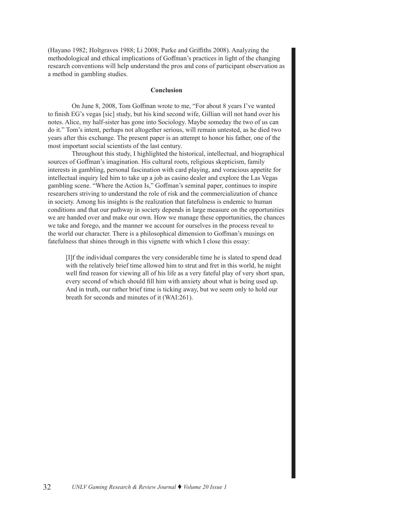(Hayano 1982; Holtgraves 1988; Li 2008; Parke and Griffiths 2008). Analyzing the methodological and ethical implications of Goffman's practices in light of the changing research conventions will help understand the pros and cons of participant observation as a method in gambling studies.

#### **Conclusion**

On June 8, 2008, Tom Goffman wrote to me, "For about 8 years I've wanted to finish EG's vegas [sic] study, but his kind second wife, Gillian will not hand over his notes. Alice, my half-sister has gone into Sociology. Maybe someday the two of us can do it." Tom's intent, perhaps not altogether serious, will remain untested, as he died two years after this exchange. The present paper is an attempt to honor his father, one of the most important social scientists of the last century.

Throughout this study, I highlighted the historical, intellectual, and biographical sources of Goffman's imagination. His cultural roots, religious skepticism, family interests in gambling, personal fascination with card playing, and voracious appetite for intellectual inquiry led him to take up a job as casino dealer and explore the Las Vegas gambling scene. "Where the Action Is," Goffman's seminal paper, continues to inspire researchers striving to understand the role of risk and the commercialization of chance in society. Among his insights is the realization that fatefulness is endemic to human conditions and that our pathway in society depends in large measure on the opportunities we are handed over and make our own. How we manage these opportunities, the chances we take and forego, and the manner we account for ourselves in the process reveal to the world our character. There is a philosophical dimension to Goffman's musings on fatefulness that shines through in this vignette with which I close this essay:

[I]f the individual compares the very considerable time he is slated to spend dead with the relatively brief time allowed him to strut and fret in this world, he might well find reason for viewing all of his life as a very fateful play of very short span, every second of which should fill him with anxiety about what is being used up. And in truth, our rather brief time is ticking away, but we seem only to hold our breath for seconds and minutes of it (WAI:261).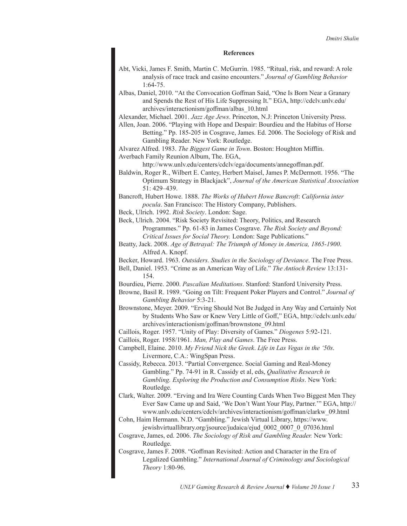#### **References**

- Abt, Vicki, James F. Smith, Martin C. McGurrin. 1985. "Ritual, risk, and reward: A role analysis of race track and casino encounters." *Journal of Gambling Behavior* 1:64-75.
- Albas, Daniel, 2010. "At the Convocation Goffman Said, "One Is Born Near a Granary and Spends the Rest of His Life Suppressing It." EGA, [http://cdclv.unlv.edu/](http://cdclv.unlv.edu/archives/interactionism/goffman/albas_10.html) [archives/interactionism/goffman/albas\\_10.html](http://cdclv.unlv.edu/archives/interactionism/goffman/albas_10.html)

Alexander, Michael. 2001. *Jazz Age Jews*. Princeton, N.J: Princeton University Press.

Allen, Joan. 2006. "Playing with Hope and Despair: Bourdieu and the Habitus of Horse Betting." Pp. 185-205 in Cosgrave, James. Ed. 2006. The Sociology of Risk and Gambling Reader. New York: Routledge.

Alvarez Alfred. 1983. *The Biggest Game in Town*. Boston: Houghton Mifflin. Averbach Family Reunion Album, The. EGA,

<http://www.unlv.edu/centers/cdclv/ega/documents/annegoffman.pdf>.

Baldwin, Roger R., Wilbert E. Cantey, Herbert Maisel, James P. McDermott. 1956. "The Optimum Strategy in Blackjack", *Journal of the American Statistical Association* 51: 429–439.

Bancroft, Hubert Howe. 1888. *The Works of Hubert Howe Bancroft*: *California inter pocula*. San Francisco: The History Company, Publishers.

Beck, Ulrich. 1992. *Risk Society*. London: Sage.

Beck, Ulrich. 2004. "Risk Society Revisited: Theory, Politics, and Research Programmes." Pp. 61-83 in James Cosgrave. *The Risk Society and Beyond: Critical Issues for Social Theory.* London: Sage Publications."

Beatty, Jack. 2008. *Age of Betrayal: The Triumph of Money in America, 1865-1900*. Alfred A. Knopf.

Becker, Howard. 1963. *Outsiders. Studies in the Sociology of Deviance*. The Free Press.

- Bell, Daniel. 1953. "Crime as an American Way of Life." *The Antioch Review* 13:131- 154.
- Bourdieu, Pierre. 2000. *Pascalian Meditations*. Stanford: Stanford University Press.
- Browne, Basil R. 1989. "Going on Tilt: Frequent Poker Players and Control." *Journal of Gambling Behavior* 5:3-21.
- Brownstone, Meyer. 2009. "Erving Should Not Be Judged in Any Way and Certainly Not by Students Who Saw or Knew Very Little of Goff," EGA, [http://cdclv.unlv.edu/](http://cdclv.unlv.edu/archives/interactionism/goffman/brownstone_09.html) [archives/interactionism/goffman/brownstone\\_09.html](http://cdclv.unlv.edu/archives/interactionism/goffman/brownstone_09.html)

Caillois, Roger. 1957. "Unity of Play: Diversity of Games." *Diogenes* 5:92-121.

Caillois, Roger. 1958/1961. *Man, Play and Games*. The Free Press.

Campbell, Elaine. 2010. *My Friend Nick the Greek*. *Life in Las Vegas in the '50s*. Livermore, C.A.: WingSpan Press.

Cassidy, Rebecca. 2013. "Partial Convergence. Social Gaming and Real-Money Gambling." Pp. 74-91 in R. Cassidy et al, eds, *Qualitative Research in Gambling. Exploring the Production and Consumption Risks*. New York: Routledge.

Clark, Walter. 2009. "Erving and Ira Were Counting Cards When Two Biggest Men They Ever Saw Came up and Said, 'We Don't Want Your Play, Partner.'" EGA, http:// www.unlv.edu/centers/cdclv/archives/interactionism/goffman/clarkw\_09.html

- Cohn, Haim Hermann. N.D. "Gambling." Jewish Virtual Library, [https://www.](https://www.jewishvirtuallibrary.org/jsource/judaica/ejud_0002_0007_0_07036.html) [jewishvirtuallibrary.org/jsource/judaica/ejud\\_0002\\_0007\\_0\\_07036.html](https://www.jewishvirtuallibrary.org/jsource/judaica/ejud_0002_0007_0_07036.html)
- Cosgrave, James, ed. 2006. *The Sociology of Risk and Gambling Reader.* New York: Routledge.

Cosgrave, James F. 2008. "Goffman Revisited: Action and Character in the Era of Legalized Gambling." *International Journal of Criminology and Sociological Theory* 1:80-96.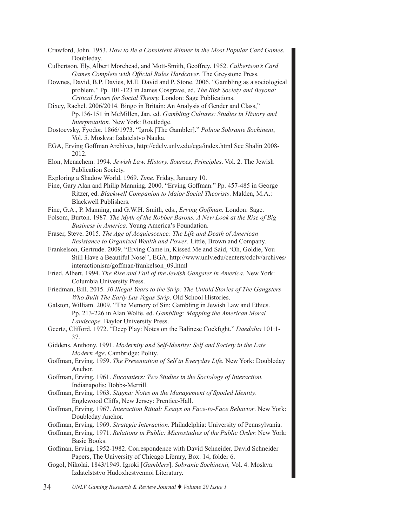- Crawford, John. 1953. *How to Be a Consistent Winner in the Most Popular Card Games*. Doubleday.
- Culbertson, Ely, Albert Morehead, and Mott-Smith, Geoffrey. 1952. *Culbertson's Card Games Complete with Official Rules Hardcover*. The Greystone Press.
- Downes, David, B.P. Davies, M.E. David and P. Stone. 2006. "Gambling as a sociological problem." Pp. 101-123 in James Cosgrave, ed. *The Risk Society and Beyond: Critical Issues for Social Theory.* London: Sage Publications.
- Dixey, Rachel. 2006/2014. Bingo in Britain: An Analysis of Gender and Class," Pp.136-151 in McMillen, Jan. ed. *Gambling Cultures: Studies in History and Interpretation.* New York: Routledge.
- Dostoevsky, Fyodor. 1866/1973. "Igrok [The Gambler]." *Polnoe Sobranie Sochineni*, Vol. 5. Moskva: Izdatelstvo Nauka.
- EGA, Erving Goffman Archives, http://cdclv.unlv.edu/ega/index.html See Shalin 2008- 2012.
- Elon, Menachem. 1994. *Jewish Law. History, Sources, Principles*. Vol. 2. The Jewish Publication Society.
- Exploring a Shadow World. 1969. *Time*. Friday, January 10.
- Fine, Gary Alan and Philip Manning. 2000. "Erving Goffman." Pp. 457-485 in George Ritzer, ed. *Blackwell Companion to Major Social Theorists*. Malden, M.A.: Blackwell Publishers.
- Fine, G.A., P. Manning, and G.W.H. Smith, eds., *Erving Goffman.* London: Sage.
- Folsom, Burton. 1987. *The Myth of the Robber Barons. A New Look at the Rise of Big Business in America*. Young America's Foundation.
- Fraser, Steve. 2015. *The Age of Acquiescence: The Life and Death of American Resistance to Organized Wealth and Power*. Little, Brown and Company.
- Frankelson, Gertrude. 2009. "Erving Came in, Kissed Me and Said, 'Oh, Goldie, You Still Have a Beautiful Nose!', EGA, [http://www.unlv.edu/centers/cdclv/archives/](http://www.unlv.edu/centers/cdclv/archives/interactionism/goffman/frankelson_09.html) [interactionism/goffman/frankelson\\_09.html](http://www.unlv.edu/centers/cdclv/archives/interactionism/goffman/frankelson_09.html)
- Fried, Albert. 1994. *The Rise and Fall of the Jewish Gangster in America.* New York: Columbia University Press.
- Friedman, Bill. 2015. *30 Illegal Years to the Strip: The Untold Stories of The Gangsters Who Built The Early Las Vegas Strip*. Old School Histories.
- Galston, William. 2009. "The Memory of Sin: Gambling in Jewish Law and Ethics. Pp. 213-226 in Alan Wolfe, ed. *Gambling: Mapping the American Moral Landscape.* Baylor University Press.
- Geertz, Clifford. 1972. "Deep Play: Notes on the Balinese Cockfight." *Daedalus* 101:1- 37.
- Giddens, Anthony. 1991. *Modernity and Self-Identity: Self and Society in the Late Modern Age*. Cambridge: Polity.
- Goffman, Erving. 1959. *The Presentation of Self in Everyday Life.* New York: Doubleday Anchor.
- Goffman, Erving. 1961. *Encounters: Two Studies in the Sociology of Interaction.*  Indianapolis: Bobbs-Merrill.
- Goffman, Erving. 1963. *Stigma: Notes on the Management of Spoiled Identity.*  Englewood Cliffs, New Jersey: Prentice-Hall.
- Goffman, Erving. 1967. *Interaction Ritual: Essays on Face-to-Face Behavior*. New York: Doubleday Anchor.
- Goffman, Erving. 1969. *Strategic Interaction*. Philadelphia: University of Pennsylvania.
- Goffman, Erving. 1971. *Relations in Public: Microstudies of the Public Order.* New York: Basic Books.
- Goffman, Erving. 1952-1982. Correspondence with David Schneider. David Schneider Papers, The University of Chicago Library, Box. 14, folder 6.
- Gogol, Nikolai. 1843/1949. Igroki [*Gamblers*]. *Sobranie Sochinenii,* Vol. 4. Moskva: Izdatelststvo Hudoxhestvennoi Literatury.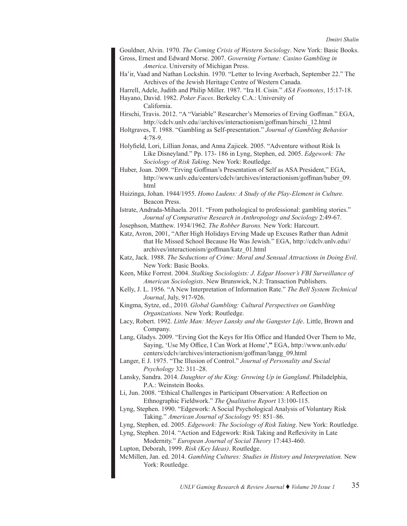Gouldner, Alvin. 1970. *The Coming Crisis of Western Sociology*. New York: Basic Books. Gross, Ernest and Edward Morse. 2007. *Governing Fortune: Casino Gambling in America*. University of Michigan Press.

Ha'ir, Vaad and Nathan Lockshin. 1970. "Letter to Irving Averbach, September 22." The Archives of the Jewish Heritage Centre of Western Canada.

Harrell, Adele, Judith and Philip Miller. 1987. "Ira H. Cisin." *ASA Footnotes*, 15:17-18.

Hayano, David. 1982. *Poker Faces*. Berkeley C.A.: University of California.

Hirschi, Travis. 2012. "A "Variable" Researcher's Memories of Erving Goffman." EGA, http://cdclv.unlv.edu//archives/interactionism/goffman/hirschi\_12.html

Holtgraves, T. 1988. "Gambling as Self-presentation." *Journal of Gambling Behavior* 4:78-9.

Holyfield, Lori, Lillian Jonas, and Anna Zajicek. 2005. "Adventure without Risk Is Like Disneyland." Pp. 173- 186 in Lyng, Stephen, ed. 2005. *Edgework: The Sociology of Risk Taking*. New York: Routledge.

Huber, Joan. 2009. "Erving Goffman's Presentation of Self as ASA President," EGA, [http://www.unlv.edu/centers/cdclv/archives/interactionism/goffman/huber\\_09.](http://www.unlv.edu/centers/cdclv/archives/interactionism/goffman/huber_09.html) [html](http://www.unlv.edu/centers/cdclv/archives/interactionism/goffman/huber_09.html)

Huizinga, Johan. 1944/1955. *Homo Ludens: A Study of the Play-Element in Culture.* Beacon Press.

Istrate, Andrada-Mihaela. 2011. "From pathological to professional: gambling stories." *Journal of Comparative Research in Anthropology and Sociology* 2:49-67.

Josephson, Matthew. 1934/1962. *The Robber Barons.* New York: Harcourt.

Katz, Avron, 2001, "After High Holidays Erving Made up Excuses Rather than Admit that He Missed School Because He Was Jewish." EGA, [http://cdclv.unlv.edu//](http://cdclv.unlv.edu//archives/interactionism/goffman/katz_01.html) [archives/interactionism/goffman/katz\\_01.html](http://cdclv.unlv.edu//archives/interactionism/goffman/katz_01.html)

Katz, Jack. 1988. *The Seductions of Crime: Moral and Sensual Attractions in Doing Evil*. New York: Basic Books.

Keen, Mike Forrest. 2004. *Stalking Sociologists: J. Edgar Hoover's FBI Surveillance of American Sociologists*. New Brunswick, N.J: Transaction Publishers.

Kelly, J. L. 1956. "A New Interpretation of Information Rate." *The Bell System Technical Journal*, July, 917-926.

Kingma, Sytze, ed., 2010. *Global Gambling: Cultural Perspectives on Gambling Organizations.* New York: Routledge.

Lacy, Robert. 1992. *Little Man: Meyer Lansky and the Gangster Life*. Little, Brown and Company.

Lang, Gladys. 2009. "Erving Got the Keys for His Office and Handed Over Them to Me, Saying, 'Use My Office, I Can Work at Home',**"** EGA, [http://www.unlv.edu/](http://www.unlv.edu/centers/cdclv/archives/interactionism/goffman/langg_09.html) [centers/cdclv/archives/interactionism/goffman/langg\\_09.html](http://www.unlv.edu/centers/cdclv/archives/interactionism/goffman/langg_09.html)

Langer, E J. 1975. "The Illusion of Control." *Journal of Personality and Social Psychology* 32: 311–28.

Lansky, Sandra. 2014. *Daughter of the King: Growing Up in Gangland*. Philadelphia, P.A.: Weinstein Books.

Li, Jun. 2008. "Ethical Challenges in Participant Observation: A Reflection on Ethnographic Fieldwork." *The Qualitative Report* 13:100-115.

Lyng, Stephen. 1990. "Edgework: A Social Psychological Analysis of Voluntary Risk Taking." *American Journal of Sociology* 95: 851–86.

Lyng, Stephen, ed. 2005. *Edgework: The Sociology of Risk Taking*. New York: Routledge.

Lyng, Stephen. 2014. "Action and Edgework: Risk Taking and Reflexivity in Late Modernity." *European Journal of Social Theory* 17:443-460.

Lupton, Deborah, 1999. *Risk (Key Ideas)*. Routledge.

McMillen, Jan. ed. 2014. *Gambling Cultures: Studies in History and Interpretation.* New York: Routledge.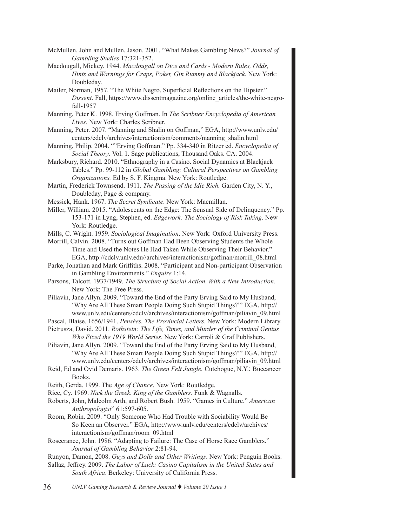- McMullen, John and Mullen, Jason. 2001. "What Makes Gambling News?" *Journal of Gambling Studies* 17:321-352.
- Macdougall, Mickey. 1944. *Macdougall on Dice and Cards Modern Rules, Odds, Hints and Warnings for Craps, Poker, Gin Rummy and Blackjack*. New York: Doubleday.
- Mailer, Norman, 1957. "The White Negro. Superficial Reflections on the Hipster." *Dissent*. Fall, https://www.dissentmagazine.org/online\_articles/the-white-negrofall-1957
- Manning, Peter K. 1998. Erving Goffman. In *The Scribner Encyclopedia of American Lives*. New York: Charles Scribner.
- Manning, Peter. 2007. "Manning and Shalin on Goffman," EGA, [http://www.unlv.edu/](http://cdclv.unlv.edu//archives/interactionism/comments/manning_shalin.html) [centers/cdclv/archives/interactionism/comments/manning\\_shalin.html](http://cdclv.unlv.edu//archives/interactionism/comments/manning_shalin.html)
- Manning, Philip. 2004. ""Erving Goffman." Pp. 334-340 in Ritzer ed. *Encyclopedia of Social Theory*. Vol. 1. Sage publications, Thousand Oaks. CA. 2004.
- Marksbury, Richard. 2010. "Ethnography in a Casino. Social Dynamics at Blackjack Tables." Pp. 99-112 in *Global Gambling: Cultural Perspectives on Gambling Organizations.* Ed by S. F. Kingma. New York: Routledge.
- Martin, Frederick Townsend. 1911. *The Passing of the Idle Rich.* Garden City, N. Y., Doubleday, Page & company.
- Messick, Hank. 1967. *The Secret Syndicate*. New York: Macmillan.
- Miller, William. 2015. "Adolescents on the Edge: The Sensual Side of Delinquency." Pp. 153-171 in Lyng, Stephen, ed. *Edgework: The Sociology of Risk Taking*. New York: Routledge.
- Mills, C. Wright. 1959. *Sociological Imagination*. New York: Oxford University Press.
- Morrill, Calvin. 2008. "Turns out Goffman Had Been Observing Students the Whole Time and Used the Notes He Had Taken While Observing Their Behavior." EGA, http://cdclv.unlv.edu//archives/interactionism/goffman/morrill\_08.html
- Parke, Jonathan and Mark Griffiths. 2008. "Participant and Non-participant Observation in Gambling Environments." *Enquire* 1:14.
- Parsons, Talcott. 1937/1949. *The Structure of Social Action*. *With a New Introduction.* New York: The Free Press.
- Piliavin, Jane Allyn. 2009. "Toward the End of the Party Erving Said to My Husband, 'Why Are All These Smart People Doing Such Stupid Things?"' EGA, http:// www.unlv.edu/centers/cdclv/archives/interactionism/goffman/piliavin\_09.html
- Pascal, Blaise. 1656/1941. *Pensées. The Provincial Letters*. New York: Modern Library.
- Pietrusza, David. 2011. *Rothstein: The Life, Times, and Murder of the Criminal Genius Who Fixed the 1919 World Series*. New York: Carroli & Graf Publishers.
- Piliavin, Jane Allyn. 2009. "Toward the End of the Party Erving Said to My Husband, 'Why Are All These Smart People Doing Such Stupid Things?"' EGA, http:// www.unlv.edu/centers/cdclv/archives/interactionism/goffman/piliavin\_09.html
- Reid, Ed and Ovid Demaris. 1963. *The Green Felt Jungle.* Cutchogue, N.Y.: Buccaneer Books.
- Reith, Gerda. 1999. The *Age of Chance*. New York: Routledge.
- Rice, Cy. 1969. *Nick the Greek. King of the Gamblers*. Funk & Wagnalls.
- Roberts, John, Malcolm Arth, and Robert Bush. 1959. "Games in Culture." *American Anthropologist*" 61:597-605.
- Room, Robin. 2009. "Only Someone Who Had Trouble with Sociability Would Be So Keen an Observer." EGA, [http://www.unlv.edu/centers/cdclv/archives/](http://www.unlv.edu/centers/cdclv/archives/interactionism/goffman/room_09.html) [interactionism/goffman/room\\_09.html](http://www.unlv.edu/centers/cdclv/archives/interactionism/goffman/room_09.html)
- Rosecrance, John. 1986. "Adapting to Failure: The Case of Horse Race Gamblers." *Journal of Gambling Behavior* 2:81-94.
- Runyon, Damon, 2008. *Guys and Dolls and Other Writings*. New York: Penguin Books.
- Sallaz, Jeffrey. 2009. *The Labor of Luck: Casino Capitalism in the United States and South Africa*. Berkeley: University of California Press.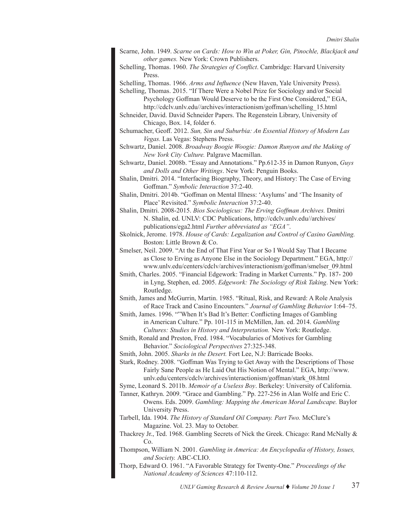- Scarne, John. 1949. *Scarne on Cards: How to Win at Poker, Gin, Pinochle, Blackjack and other games.* New York: Crown Publishers.
- Schelling, Thomas. 1960. *The Strategies of Conflict*. Cambridge: Harvard University Press.

Schelling, Thomas. 1966. *Arms and Influence* (New Haven, Yale University Press).

Schelling, Thomas. 2015. "If There Were a Nobel Prize for Sociology and/or Social Psychology Goffman Would Deserve to be the First One Considered," EGA, http://cdclv.unlv.edu//archives/interactionism/goffman/schelling\_15.html

- Schneider, David. David Schneider Papers. The Regenstein Library, University of Chicago, Box. 14, folder 6.
- Schumacher, Geoff. 2012. *Sun, Sin and Suburbia: An Essential History of Modern Las Vegas.* Las Vegas: Stephens Press.

Schwartz, Daniel. 2008. *Broadway Boogie Woogie: Damon Runyon and the Making of New York City Culture.* Palgrave Macmillan.

Schwartz, Daniel. 2008b. "Essay and Annotations." Pp.612-35 in Damon Runyon, *Guys and Dolls and Other Writings*. New York: Penguin Books.

Shalin, Dmitri. 2014. "Interfacing Biography, Theory, and History: The Case of Erving Goffman." *Symbolic Interaction* 37:2-40.

Shalin, Dmitri. 2014b. "Goffman on Mental Illness: 'Asylums' and 'The Insanity of Place' Revisited." *Symbolic Interaction* 37:2-40.

Shalin, Dmitri. 2008-2015. *Bios Sociologicus: The Erving Goffman Archives.* Dmitri N. Shalin, ed. UNLV: CDC Publications, [http://cdclv.unlv.edu//archives/](http://cdclv.unlv.edu//archives/publications/ega2.html) [publications/ega2.html](http://cdclv.unlv.edu//archives/publications/ega2.html) *Further abbreviated as "EGA"*.

Skolnick, Jerome. 1978. *House of Cards: Legalization and Control of Casino Gambling.*  Boston: Little Brown & Co.

- Smelser, Neil. 2009. "At the End of That First Year or So I Would Say That I Became as Close to Erving as Anyone Else in the Sociology Department." EGA, http:// www.unlv.edu/centers/cdclv/archives/interactionism/goffman/smelser\_09.html
- Smith, Charles. 2005. "Financial Edgework: Trading in Market Currents." Pp. 187- 200 in Lyng, Stephen, ed. 2005. *Edgework: The Sociology of Risk Taking*. New York: Routledge.

Smith, James and McGurrin, Martin. 1985. "Ritual, Risk, and Reward: A Role Analysis of Race Track and Casino Encounters." *Journal of Gambling Behavior* 1:64–75.

Smith, James. 1996. ""When It's Bad It's Better: Conflicting Images of Gambling in American Culture." Pp. 101-115 in McMillen, Jan. ed. 2014. *Gambling Cultures: Studies in History and Interpretation.* New York: Routledge.

- Smith, Ronald and Preston, Fred. 1984. "Vocabularies of Motives for Gambling Behavior." *Sociological Perspectives* 27:325-348.
- Smith, John. 2005. *Sharks in the Desert.* Fort Lee, N.J: Barricade Books.
- Stark, Rodney. 2008. "Goffman Was Trying to Get Away with the Descriptions of Those Fairly Sane People as He Laid Out His Notion of Mental." EGA, [http://www.](http://www.unlv.edu/centers/cdclv/archives/interactionism/goffman/stark_08.html) [unlv.edu/centers/cdclv/archives/interactionism/goffman/stark\\_08.html](http://www.unlv.edu/centers/cdclv/archives/interactionism/goffman/stark_08.html)

Syme, Leonard S. 2011b. *Memoir of a Useless Boy*. Berkeley: University of California.

- Tanner, Kathryn. 2009. "Grace and Gambling." Pp. 227-256 in Alan Wolfe and Eric C. Owens. Eds. 2009. *Gambling: Mapping the American Moral Landscape.* Baylor University Press.
- Tarbell, Ida. 1904. *The History of Standard Oil Company. Part Two.* McClure's Magazine. Vol. 23. May to October.
- Thackrey Jr., Ted. 1968. Gambling Secrets of Nick the Greek. Chicago: Rand McNally & Co.
- Thompson, William N. 2001. *Gambling in America: An Encyclopedia of History, Issues, and Society.* ABC-CLIO.
- Thorp, Edward O. 1961. "A Favorable Strategy for Twenty-One." *Proceedings of the National Academy of Sciences* 47:110-112.